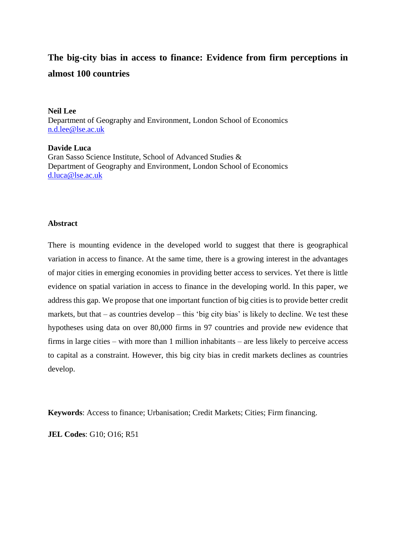# **The big-city bias in access to finance: Evidence from firm perceptions in almost 100 countries**

#### **Neil Lee**

Department of Geography and Environment, London School of Economics [n.d.lee@lse.ac.uk](mailto:n.d.lee@lse.ac.uk)

#### **Davide Luca**

Gran Sasso Science Institute, School of Advanced Studies & Department of Geography and Environment, London School of Economics [d.luca@lse.ac.uk](mailto:d.luca@lse.ac.uk)

### **Abstract**

There is mounting evidence in the developed world to suggest that there is geographical variation in access to finance. At the same time, there is a growing interest in the advantages of major cities in emerging economies in providing better access to services. Yet there is little evidence on spatial variation in access to finance in the developing world. In this paper, we address this gap. We propose that one important function of big cities is to provide better credit markets, but that  $-$  as countries develop  $-$  this 'big city bias' is likely to decline. We test these hypotheses using data on over 80,000 firms in 97 countries and provide new evidence that firms in large cities – with more than 1 million inhabitants – are less likely to perceive access to capital as a constraint. However, this big city bias in credit markets declines as countries develop.

**Keywords**: Access to finance; Urbanisation; Credit Markets; Cities; Firm financing.

**JEL Codes**: G10; O16; R51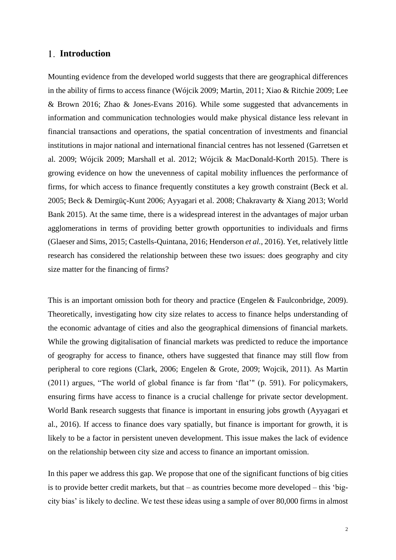## **Introduction**

Mounting evidence from the developed world suggests that there are geographical differences in the ability of firms to access finance (Wójcik 2009; Martin, 2011; Xiao & Ritchie 2009; Lee & Brown 2016; Zhao & Jones-Evans 2016). While some suggested that advancements in information and communication technologies would make physical distance less relevant in financial transactions and operations, the spatial concentration of investments and financial institutions in major national and international financial centres has not lessened (Garretsen et al. 2009; Wójcik 2009; Marshall et al. 2012; Wójcik & MacDonald-Korth 2015). There is growing evidence on how the unevenness of capital mobility influences the performance of firms, for which access to finance frequently constitutes a key growth constraint (Beck et al. 2005; Beck & Demirgüç-Kunt 2006; Ayyagari et al. 2008; Chakravarty & Xiang 2013; World Bank 2015). At the same time, there is a widespread interest in the advantages of major urban agglomerations in terms of providing better growth opportunities to individuals and firms (Glaeser and Sims, 2015; Castells-Quintana, 2016; Henderson *et al.*, 2016). Yet, relatively little research has considered the relationship between these two issues: does geography and city size matter for the financing of firms?

This is an important omission both for theory and practice (Engelen & Faulconbridge, 2009). Theoretically, investigating how city size relates to access to finance helps understanding of the economic advantage of cities and also the geographical dimensions of financial markets. While the growing digitalisation of financial markets was predicted to reduce the importance of geography for access to finance, others have suggested that finance may still flow from peripheral to core regions (Clark, 2006; Engelen & Grote, 2009; Wojcik, 2011). As Martin (2011) argues, "The world of global finance is far from 'flat'" (p. 591). For policymakers, ensuring firms have access to finance is a crucial challenge for private sector development. World Bank research suggests that finance is important in ensuring jobs growth (Ayyagari et al., 2016). If access to finance does vary spatially, but finance is important for growth, it is likely to be a factor in persistent uneven development. This issue makes the lack of evidence on the relationship between city size and access to finance an important omission.

In this paper we address this gap. We propose that one of the significant functions of big cities is to provide better credit markets, but that – as countries become more developed – this 'bigcity bias' is likely to decline. We test these ideas using a sample of over 80,000 firms in almost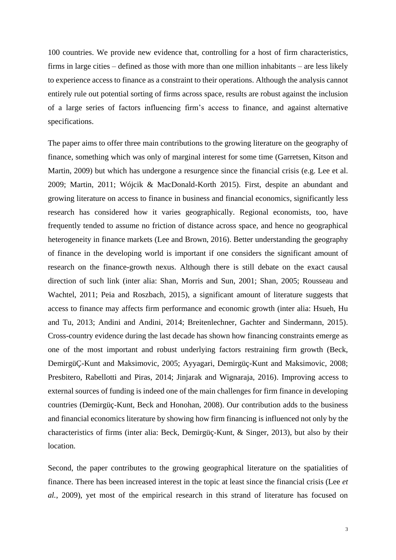100 countries. We provide new evidence that, controlling for a host of firm characteristics, firms in large cities – defined as those with more than one million inhabitants – are less likely to experience access to finance as a constraint to their operations. Although the analysis cannot entirely rule out potential sorting of firms across space, results are robust against the inclusion of a large series of factors influencing firm's access to finance, and against alternative specifications.

The paper aims to offer three main contributions to the growing literature on the geography of finance, something which was only of marginal interest for some time (Garretsen, Kitson and Martin, 2009) but which has undergone a resurgence since the financial crisis (e.g. Lee et al. 2009; Martin, 2011; Wójcik & MacDonald-Korth 2015). First, despite an abundant and growing literature on access to finance in business and financial economics, significantly less research has considered how it varies geographically. Regional economists, too, have frequently tended to assume no friction of distance across space, and hence no geographical heterogeneity in finance markets (Lee and Brown, 2016). Better understanding the geography of finance in the developing world is important if one considers the significant amount of research on the finance-growth nexus. Although there is still debate on the exact causal direction of such link (inter alia: Shan, Morris and Sun, 2001; Shan, 2005; Rousseau and Wachtel, 2011; Peia and Roszbach, 2015), a significant amount of literature suggests that access to finance may affects firm performance and economic growth (inter alia: Hsueh, Hu and Tu, 2013; Andini and Andini, 2014; Breitenlechner, Gachter and Sindermann, 2015). Cross-country evidence during the last decade has shown how financing constraints emerge as one of the most important and robust underlying factors restraining firm growth (Beck, DemirgüÇ-Kunt and Maksimovic, 2005; Ayyagari, Demirgüç-Kunt and Maksimovic, 2008; Presbitero, Rabellotti and Piras, 2014; Jinjarak and Wignaraja, 2016). Improving access to external sources of funding is indeed one of the main challenges for firm finance in developing countries (Demirgüç-Kunt, Beck and Honohan, 2008). Our contribution adds to the business and financial economics literature by showing how firm financing is influenced not only by the characteristics of firms (inter alia: Beck, Demirgüç-Kunt, & Singer, 2013), but also by their location.

Second, the paper contributes to the growing geographical literature on the spatialities of finance. There has been increased interest in the topic at least since the financial crisis (Lee *et al.*, 2009), yet most of the empirical research in this strand of literature has focused on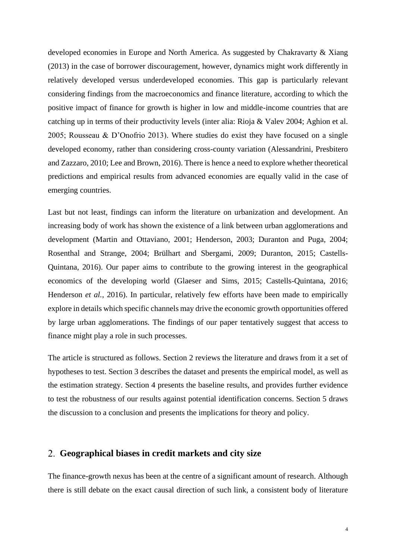developed economies in Europe and North America. As suggested by Chakravarty & Xiang (2013) in the case of borrower discouragement, however, dynamics might work differently in relatively developed versus underdeveloped economies. This gap is particularly relevant considering findings from the macroeconomics and finance literature, according to which the positive impact of finance for growth is higher in low and middle-income countries that are catching up in terms of their productivity levels (inter alia: Rioja & Valev 2004; Aghion et al. 2005; Rousseau & D'Onofrio 2013). Where studies do exist they have focused on a single developed economy, rather than considering cross-county variation (Alessandrini, Presbitero and Zazzaro, 2010; Lee and Brown, 2016). There is hence a need to explore whether theoretical predictions and empirical results from advanced economies are equally valid in the case of emerging countries.

Last but not least, findings can inform the literature on urbanization and development. An increasing body of work has shown the existence of a link between urban agglomerations and development (Martin and Ottaviano, 2001; Henderson, 2003; Duranton and Puga, 2004; Rosenthal and Strange, 2004; Brülhart and Sbergami, 2009; Duranton, 2015; Castells-Quintana, 2016). Our paper aims to contribute to the growing interest in the geographical economics of the developing world (Glaeser and Sims, 2015; Castells-Quintana, 2016; Henderson *et al.*, 2016). In particular, relatively few efforts have been made to empirically explore in details which specific channels may drive the economic growth opportunities offered by large urban agglomerations. The findings of our paper tentatively suggest that access to finance might play a role in such processes.

The article is structured as follows. Section 2 reviews the literature and draws from it a set of hypotheses to test. Section 3 describes the dataset and presents the empirical model, as well as the estimation strategy. Section 4 presents the baseline results, and provides further evidence to test the robustness of our results against potential identification concerns. Section 5 draws the discussion to a conclusion and presents the implications for theory and policy.

## **Geographical biases in credit markets and city size**

The finance-growth nexus has been at the centre of a significant amount of research. Although there is still debate on the exact causal direction of such link, a consistent body of literature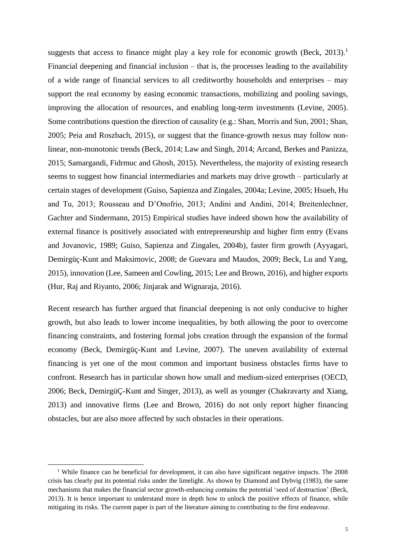suggests that access to finance might play a key role for economic growth  $(Beck, 2013).$ Financial deepening and financial inclusion – that is, the processes leading to the availability of a wide range of financial services to all creditworthy households and enterprises – may support the real economy by easing economic transactions, mobilizing and pooling savings, improving the allocation of resources, and enabling long-term investments (Levine, 2005). Some contributions question the direction of causality (e.g.: Shan, Morris and Sun, 2001; Shan, 2005; Peia and Roszbach, 2015), or suggest that the finance-growth nexus may follow nonlinear, non-monotonic trends (Beck, 2014; Law and Singh, 2014; Arcand, Berkes and Panizza, 2015; Samargandi, Fidrmuc and Ghosh, 2015). Nevertheless, the majority of existing research seems to suggest how financial intermediaries and markets may drive growth – particularly at certain stages of development (Guiso, Sapienza and Zingales, 2004a; Levine, 2005; Hsueh, Hu and Tu, 2013; Rousseau and D'Onofrio, 2013; Andini and Andini, 2014; Breitenlechner, Gachter and Sindermann, 2015) Empirical studies have indeed shown how the availability of external finance is positively associated with entrepreneurship and higher firm entry (Evans and Jovanovic, 1989; Guiso, Sapienza and Zingales, 2004b), faster firm growth (Ayyagari, Demirgüç-Kunt and Maksimovic, 2008; de Guevara and Maudos, 2009; Beck, Lu and Yang, 2015), innovation (Lee, Sameen and Cowling, 2015; Lee and Brown, 2016), and higher exports (Hur, Raj and Riyanto, 2006; Jinjarak and Wignaraja, 2016).

Recent research has further argued that financial deepening is not only conducive to higher growth, but also leads to lower income inequalities, by both allowing the poor to overcome financing constraints, and fostering formal jobs creation through the expansion of the formal economy (Beck, Demirgüç-Kunt and Levine, 2007). The uneven availability of external financing is yet one of the most common and important business obstacles firms have to confront. Research has in particular shown how small and medium-sized enterprises (OECD, 2006; Beck, DemirgüÇ-Kunt and Singer, 2013), as well as younger (Chakravarty and Xiang, 2013) and innovative firms (Lee and Brown, 2016) do not only report higher financing obstacles, but are also more affected by such obstacles in their operations.

1

<sup>&</sup>lt;sup>1</sup> While finance can be beneficial for development, it can also have significant negative impacts. The 2008 crisis has clearly put its potential risks under the limelight. As shown by Diamond and Dybvig (1983), the same mechanisms that makes the financial sector growth-enhancing contains the potential 'seed of destruction' (Beck, 2013). It is hence important to understand more in depth how to unlock the positive effects of finance, while mitigating its risks. The current paper is part of the literature aiming to contributing to the first endeavour.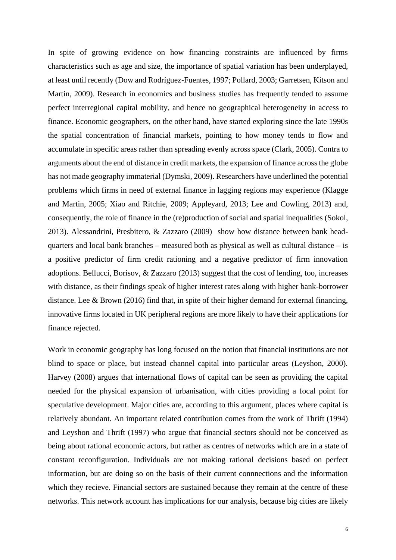In spite of growing evidence on how financing constraints are influenced by firms characteristics such as age and size, the importance of spatial variation has been underplayed, at least until recently (Dow and Rodríguez-Fuentes, 1997; Pollard, 2003; Garretsen, Kitson and Martin, 2009). Research in economics and business studies has frequently tended to assume perfect interregional capital mobility, and hence no geographical heterogeneity in access to finance. Economic geographers, on the other hand, have started exploring since the late 1990s the spatial concentration of financial markets, pointing to how money tends to flow and accumulate in specific areas rather than spreading evenly across space (Clark, 2005). Contra to arguments about the end of distance in credit markets, the expansion of finance across the globe has not made geography immaterial (Dymski, 2009). Researchers have underlined the potential problems which firms in need of external finance in lagging regions may experience (Klagge and Martin, 2005; Xiao and Ritchie, 2009; Appleyard, 2013; Lee and Cowling, 2013) and, consequently, the role of finance in the (re)production of social and spatial inequalities (Sokol, 2013). Alessandrini, Presbitero, & Zazzaro (2009) show how distance between bank headquarters and local bank branches – measured both as physical as well as cultural distance – is a positive predictor of firm credit rationing and a negative predictor of firm innovation adoptions. Bellucci, Borisov, & Zazzaro (2013) suggest that the cost of lending, too, increases with distance, as their findings speak of higher interest rates along with higher bank-borrower distance. Lee & Brown (2016) find that, in spite of their higher demand for external financing, innovative firms located in UK peripheral regions are more likely to have their applications for finance rejected.

Work in economic geography has long focused on the notion that financial institutions are not blind to space or place, but instead channel capital into particular areas (Leyshon, 2000). Harvey (2008) argues that international flows of capital can be seen as providing the capital needed for the physical expansion of urbanisation, with cities providing a focal point for speculative development. Major cities are, according to this argument, places where capital is relatively abundant. An important related contribution comes from the work of Thrift (1994) and Leyshon and Thrift (1997) who argue that financial sectors should not be conceived as being about rational economic actors, but rather as centres of networks which are in a state of constant reconfiguration. Individuals are not making rational decisions based on perfect information, but are doing so on the basis of their current connnections and the information which they recieve. Financial sectors are sustained because they remain at the centre of these networks. This network account has implications for our analysis, because big cities are likely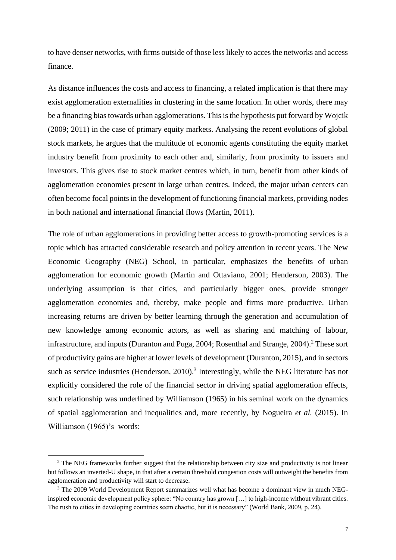to have denser networks, with firms outside of those less likely to acces the networks and access finance.

As distance influences the costs and access to financing, a related implication is that there may exist agglomeration externalities in clustering in the same location. In other words, there may be a financing bias towards urban agglomerations. This is the hypothesis put forward by Wojcik (2009; 2011) in the case of primary equity markets. Analysing the recent evolutions of global stock markets, he argues that the multitude of economic agents constituting the equity market industry benefit from proximity to each other and, similarly, from proximity to issuers and investors. This gives rise to stock market centres which, in turn, benefit from other kinds of agglomeration economies present in large urban centres. Indeed, the major urban centers can often become focal points in the development of functioning financial markets, providing nodes in both national and international financial flows (Martin, 2011).

The role of urban agglomerations in providing better access to growth-promoting services is a topic which has attracted considerable research and policy attention in recent years. The New Economic Geography (NEG) School, in particular, emphasizes the benefits of urban agglomeration for economic growth (Martin and Ottaviano, 2001; Henderson, 2003). The underlying assumption is that cities, and particularly bigger ones, provide stronger agglomeration economies and, thereby, make people and firms more productive. Urban increasing returns are driven by better learning through the generation and accumulation of new knowledge among economic actors, as well as sharing and matching of labour, infrastructure, and inputs (Duranton and Puga, 2004; Rosenthal and Strange, 2004). <sup>2</sup> These sort of productivity gains are higher at lower levels of development (Duranton, 2015), and in sectors such as service industries (Henderson, 2010).<sup>3</sup> Interestingly, while the NEG literature has not explicitly considered the role of the financial sector in driving spatial agglomeration effects, such relationship was underlined by Williamson (1965) in his seminal work on the dynamics of spatial agglomeration and inequalities and, more recently, by Nogueira *et al.* (2015). In Williamson (1965)'s words:

<u>.</u>

 $2$  The NEG frameworks further suggest that the relationship between city size and productivity is not linear but follows an inverted-U shape, in that after a certain threshold congestion costs will outweight the benefits from agglomeration and productivity will start to decrease.

<sup>&</sup>lt;sup>3</sup> The 2009 World Development Report summarizes well what has become a dominant view in much NEGinspired economic development policy sphere: "No country has grown […] to high-income without vibrant cities. The rush to cities in developing countries seem chaotic, but it is necessary" (World Bank, 2009, p. 24).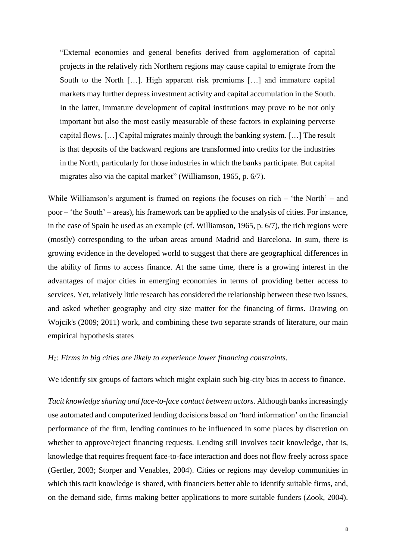"External economies and general benefits derived from agglomeration of capital projects in the relatively rich Northern regions may cause capital to emigrate from the South to the North […]. High apparent risk premiums […] and immature capital markets may further depress investment activity and capital accumulation in the South. In the latter, immature development of capital institutions may prove to be not only important but also the most easily measurable of these factors in explaining perverse capital flows. […] Capital migrates mainly through the banking system. […] The result is that deposits of the backward regions are transformed into credits for the industries in the North, particularly for those industries in which the banks participate. But capital migrates also via the capital market" (Williamson, 1965, p. 6/7).

While Williamson's argument is framed on regions (he focuses on rich – 'the North' – and poor – 'the South' – areas), his framework can be applied to the analysis of cities. For instance, in the case of Spain he used as an example (cf. Williamson, 1965, p. 6/7), the rich regions were (mostly) corresponding to the urban areas around Madrid and Barcelona. In sum, there is growing evidence in the developed world to suggest that there are geographical differences in the ability of firms to access finance. At the same time, there is a growing interest in the advantages of major cities in emerging economies in terms of providing better access to services. Yet, relatively little research has considered the relationship between these two issues, and asked whether geography and city size matter for the financing of firms. Drawing on Wojcik's (2009; 2011) work, and combining these two separate strands of literature, our main empirical hypothesis states

#### *H1: Firms in big cities are likely to experience lower financing constraints.*

We identify six groups of factors which might explain such big-city bias in access to finance.

*Tacit knowledge sharing and face-to-face contact between actors*. Although banks increasingly use automated and computerized lending decisions based on 'hard information' on the financial performance of the firm, lending continues to be influenced in some places by discretion on whether to approve/reject financing requests. Lending still involves tacit knowledge, that is, knowledge that requires frequent face-to-face interaction and does not flow freely across space (Gertler, 2003; Storper and Venables, 2004). Cities or regions may develop communities in which this tacit knowledge is shared, with financiers better able to identify suitable firms, and, on the demand side, firms making better applications to more suitable funders (Zook, 2004).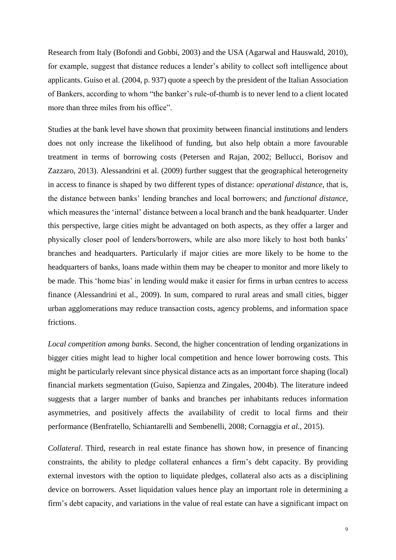Research from Italy (Bofondi and Gobbi, 2003) and the USA (Agarwal and Hauswald, 2010), for example, suggest that distance reduces a lender's ability to collect soft intelligence about applicants. Guiso et al. (2004, p. 937) quote a speech by the president of the Italian Association of Bankers, according to whom "the banker's rule-of-thumb is to never lend to a client located more than three miles from his office".

Studies at the bank level have shown that proximity between financial institutions and lenders does not only increase the likelihood of funding, but also help obtain a more favourable treatment in terms of borrowing costs (Petersen and Rajan, 2002; Bellucci, Borisov and Zazzaro, 2013). Alessandrini et al. (2009) further suggest that the geographical heterogeneity in access to finance is shaped by two different types of distance: *operational distance*, that is, the distance between banks' lending branches and local borrowers; and *functional distance*, which measures the 'internal' distance between a local branch and the bank headquarter. Under this perspective, large cities might be advantaged on both aspects, as they offer a larger and physically closer pool of lenders/borrowers, while are also more likely to host both banks' branches and headquarters. Particularly if major cities are more likely to be home to the headquarters of banks, loans made within them may be cheaper to monitor and more likely to be made. This 'home bias' in lending would make it easier for firms in urban centres to access finance (Alessandrini et al., 2009). In sum, compared to rural areas and small cities, bigger urban agglomerations may reduce transaction costs, agency problems, and information space frictions.

*Local competition among banks*. Second, the higher concentration of lending organizations in bigger cities might lead to higher local competition and hence lower borrowing costs. This might be particularly relevant since physical distance acts as an important force shaping (local) financial markets segmentation (Guiso, Sapienza and Zingales, 2004b). The literature indeed suggests that a larger number of banks and branches per inhabitants reduces information asymmetries, and positively affects the availability of credit to local firms and their performance (Benfratello, Schiantarelli and Sembenelli, 2008; Cornaggia *et al.*, 2015).

*Collateral*. Third, research in real estate finance has shown how, in presence of financing constraints, the ability to pledge collateral enhances a firm's debt capacity. By providing external investors with the option to liquidate pledges, collateral also acts as a disciplining device on borrowers. Asset liquidation values hence play an important role in determining a firm's debt capacity, and variations in the value of real estate can have a significant impact on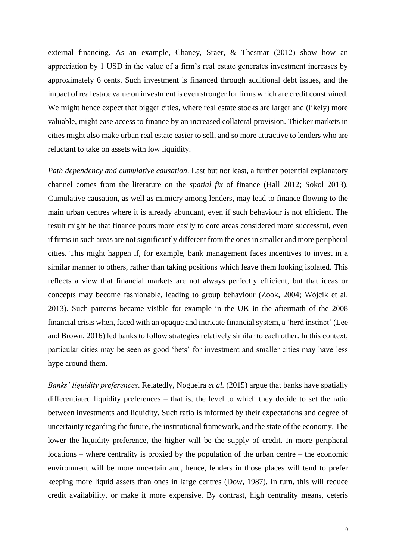external financing. As an example, Chaney, Sraer, & Thesmar (2012) show how an appreciation by 1 USD in the value of a firm's real estate generates investment increases by approximately 6 cents. Such investment is financed through additional debt issues, and the impact of real estate value on investment is even stronger for firms which are credit constrained. We might hence expect that bigger cities, where real estate stocks are larger and (likely) more valuable, might ease access to finance by an increased collateral provision. Thicker markets in cities might also make urban real estate easier to sell, and so more attractive to lenders who are reluctant to take on assets with low liquidity.

*Path dependency and cumulative causation*. Last but not least, a further potential explanatory channel comes from the literature on the *spatial fix* of finance (Hall 2012; Sokol 2013). Cumulative causation, as well as mimicry among lenders, may lead to finance flowing to the main urban centres where it is already abundant, even if such behaviour is not efficient. The result might be that finance pours more easily to core areas considered more successful, even if firms in such areas are not significantly different from the ones in smaller and more peripheral cities. This might happen if, for example, bank management faces incentives to invest in a similar manner to others, rather than taking positions which leave them looking isolated. This reflects a view that financial markets are not always perfectly efficient, but that ideas or concepts may become fashionable, leading to group behaviour (Zook, 2004; [Wójcik](javascript:;) et al. 2013). Such patterns became visible for example in the UK in the aftermath of the 2008 financial crisis when, faced with an opaque and intricate financial system, a 'herd instinct' (Lee and Brown, 2016) led banks to follow strategies relatively similar to each other. In this context, particular cities may be seen as good 'bets' for investment and smaller cities may have less hype around them.

*Banks' liquidity preferences*. Relatedly, Nogueira *et al.* (2015) argue that banks have spatially differentiated liquidity preferences – that is, the level to which they decide to set the ratio between investments and liquidity. Such ratio is informed by their expectations and degree of uncertainty regarding the future, the institutional framework, and the state of the economy. The lower the liquidity preference, the higher will be the supply of credit. In more peripheral locations – where centrality is proxied by the population of the urban centre – the economic environment will be more uncertain and, hence, lenders in those places will tend to prefer keeping more liquid assets than ones in large centres (Dow, 1987). In turn, this will reduce credit availability, or make it more expensive. By contrast, high centrality means, ceteris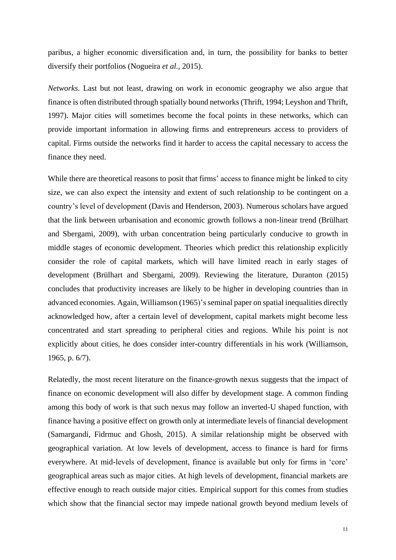paribus, a higher economic diversification and, in turn, the possibility for banks to better diversify their portfolios (Nogueira *et al.*, 2015).

*Networks.* Last but not least, drawing on work in economic geography we also argue that finance is often distributed through spatially bound networks (Thrift, 1994; Leyshon and Thrift, 1997). Major cities will sometimes become the focal points in these networks, which can provide important information in allowing firms and entrepreneurs access to providers of capital. Firms outside the networks find it harder to access the capital necessary to access the finance they need.

While there are theoretical reasons to posit that firms' access to finance might be linked to city size, we can also expect the intensity and extent of such relationship to be contingent on a country's level of development (Davis and Henderson, 2003). Numerous scholars have argued that the link between urbanisation and economic growth follows a non-linear trend (Brülhart and Sbergami, 2009), with urban concentration being particularly conducive to growth in middle stages of economic development. Theories which predict this relationship explicitly consider the role of capital markets, which will have limited reach in early stages of development (Brülhart and Sbergami, 2009). Reviewing the literature, Duranton (2015) concludes that productivity increases are likely to be higher in developing countries than in advanced economies. Again, Williamson (1965)'sseminal paper on spatial inequalities directly acknowledged how, after a certain level of development, capital markets might become less concentrated and start spreading to peripheral cities and regions. While his point is not explicitly about cities, he does consider inter-country differentials in his work (Williamson, 1965, p. 6/7).

Relatedly, the most recent literature on the finance-growth nexus suggests that the impact of finance on economic development will also differ by development stage. A common finding among this body of work is that such nexus may follow an inverted-U shaped function, with finance having a positive effect on growth only at intermediate levels of financial development (Samargandi, Fidrmuc and Ghosh, 2015). A similar relationship might be observed with geographical variation. At low levels of development, access to finance is hard for firms everywhere. At mid-levels of development, finance is available but only for firms in 'core' geographical areas such as major cities. At high levels of development, financial markets are effective enough to reach outside major cities. Empirical support for this comes from studies which show that the financial sector may impede national growth beyond medium levels of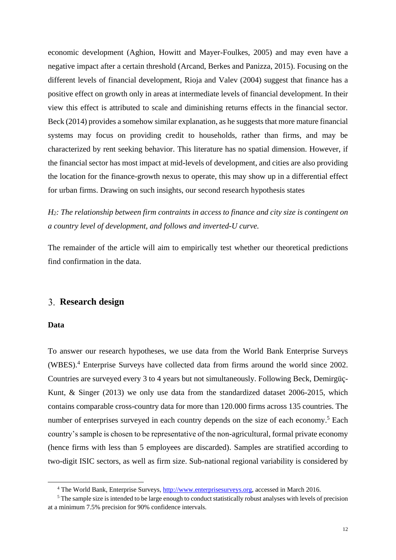economic development (Aghion, Howitt and Mayer-Foulkes, 2005) and may even have a negative impact after a certain threshold (Arcand, Berkes and Panizza, 2015). Focusing on the different levels of financial development, Rioja and Valev (2004) suggest that finance has a positive effect on growth only in areas at intermediate levels of financial development. In their view this effect is attributed to scale and diminishing returns effects in the financial sector. Beck (2014) provides a somehow similar explanation, as he suggests that more mature financial systems may focus on providing credit to households, rather than firms, and may be characterized by rent seeking behavior. This literature has no spatial dimension. However, if the financial sector has most impact at mid-levels of development, and cities are also providing the location for the finance-growth nexus to operate, this may show up in a differential effect for urban firms. Drawing on such insights, our second research hypothesis states

*H2: The relationship between firm contraints in access to finance and city size is contingent on a country level of development, and follows and inverted-U curve.* 

The remainder of the article will aim to empirically test whether our theoretical predictions find confirmation in the data.

## **Research design**

#### **Data**

<u>.</u>

To answer our research hypotheses, we use data from the World Bank Enterprise Surveys (WBES). <sup>4</sup> Enterprise Surveys have collected data from firms around the world since 2002. Countries are surveyed every 3 to 4 years but not simultaneously. Following Beck, Demirgüç-Kunt, & Singer (2013) we only use data from the standardized dataset 2006-2015, which contains comparable cross-country data for more than 120.000 firms across 135 countries. The number of enterprises surveyed in each country depends on the size of each economy.<sup>5</sup> Each country's sample is chosen to be representative of the non-agricultural, formal private economy (hence firms with less than 5 employees are discarded). Samples are stratified according to two-digit ISIC sectors, as well as firm size. Sub-national regional variability is considered by

<sup>4</sup> The World Bank, Enterprise Surveys, [http://www.enterprisesurveys.org,](http://www.enterprisesurveys.org/) accessed in March 2016.

<sup>&</sup>lt;sup>5</sup> The sample size is intended to be large enough to conduct statistically robust analyses with levels of precision at a minimum 7.5% precision for 90% confidence intervals.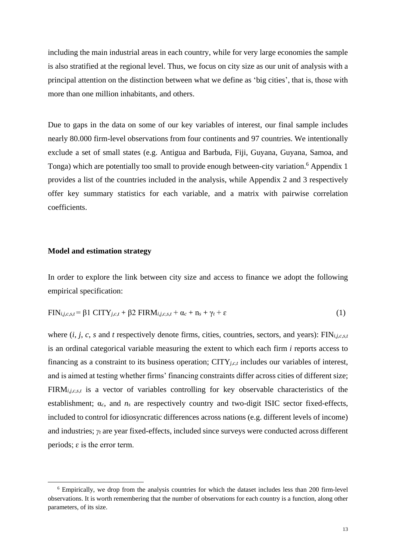including the main industrial areas in each country, while for very large economies the sample is also stratified at the regional level. Thus, we focus on city size as our unit of analysis with a principal attention on the distinction between what we define as 'big cities', that is, those with more than one million inhabitants, and others.

Due to gaps in the data on some of our key variables of interest, our final sample includes nearly 80.000 firm-level observations from four continents and 97 countries. We intentionally exclude a set of small states (e.g. Antigua and Barbuda, Fiji, Guyana, Guyana, Samoa, and Tonga) which are potentially too small to provide enough between-city variation. <sup>6</sup> Appendix 1 provides a list of the countries included in the analysis, while Appendix 2 and 3 respectively offer key summary statistics for each variable, and a matrix with pairwise correlation coefficients.

#### **Model and estimation strategy**

<u>.</u>

In order to explore the link between city size and access to finance we adopt the following empirical specification:

$$
FIN_{i,j,c,s,t} = \beta 1 \, \text{CITY}_{j,c,t} + \beta 2 \, \text{FIRM}_{i,j,c,s,t} + \alpha_c + n_s + \gamma_t + \varepsilon \tag{1}
$$

where  $(i, j, c, s$  and  $t$  respectively denote firms, cities, countries, sectors, and years): FIN<sub>i,j,c,s,t</sub> is an ordinal categorical variable measuring the extent to which each firm *i* reports access to financing as a constraint to its business operation; CITY*j,c,t* includes our variables of interest, and is aimed at testing whether firms' financing constraints differ across cities of different size; FIRM*i,j,c,s,t* is a vector of variables controlling for key observable characteristics of the establishment;  $\alpha_c$ , and  $n_s$  are respectively country and two-digit ISIC sector fixed-effects, included to control for idiosyncratic differences across nations (e.g. different levels of income) and industries; *γ<sup>t</sup>* are year fixed-effects, included since surveys were conducted across different periods;  $\varepsilon$  is the error term.

<sup>6</sup> Empirically, we drop from the analysis countries for which the dataset includes less than 200 firm-level observations. It is worth remembering that the number of observations for each country is a function, along other parameters, of its size.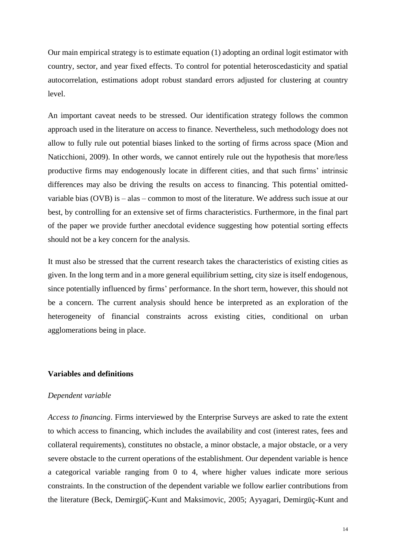Our main empirical strategy is to estimate equation (1) adopting an ordinal logit estimator with country, sector, and year fixed effects. To control for potential heteroscedasticity and spatial autocorrelation, estimations adopt robust standard errors adjusted for clustering at country level.

An important caveat needs to be stressed. Our identification strategy follows the common approach used in the literature on access to finance. Nevertheless, such methodology does not allow to fully rule out potential biases linked to the sorting of firms across space (Mion and Naticchioni, 2009). In other words, we cannot entirely rule out the hypothesis that more/less productive firms may endogenously locate in different cities, and that such firms' intrinsic differences may also be driving the results on access to financing. This potential omittedvariable bias (OVB) is – alas – common to most of the literature. We address such issue at our best, by controlling for an extensive set of firms characteristics. Furthermore, in the final part of the paper we provide further anecdotal evidence suggesting how potential sorting effects should not be a key concern for the analysis.

It must also be stressed that the current research takes the characteristics of existing cities as given. In the long term and in a more general equilibrium setting, city size is itself endogenous, since potentially influenced by firms' performance. In the short term, however, this should not be a concern. The current analysis should hence be interpreted as an exploration of the heterogeneity of financial constraints across existing cities, conditional on urban agglomerations being in place.

#### **Variables and definitions**

#### *Dependent variable*

*Access to financing*. Firms interviewed by the Enterprise Surveys are asked to rate the extent to which access to financing, which includes the availability and cost (interest rates, fees and collateral requirements), constitutes no obstacle, a minor obstacle, a major obstacle, or a very severe obstacle to the current operations of the establishment. Our dependent variable is hence a categorical variable ranging from 0 to 4, where higher values indicate more serious constraints. In the construction of the dependent variable we follow earlier contributions from the literature (Beck, DemirgüÇ-Kunt and Maksimovic, 2005; Ayyagari, Demirgüç-Kunt and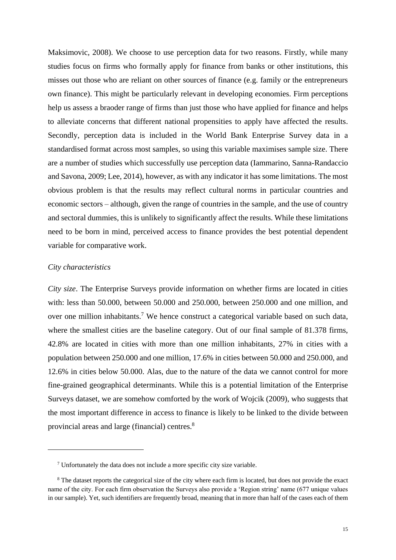Maksimovic, 2008). We choose to use perception data for two reasons. Firstly, while many studies focus on firms who formally apply for finance from banks or other institutions, this misses out those who are reliant on other sources of finance (e.g. family or the entrepreneurs own finance). This might be particularly relevant in developing economies. Firm perceptions help us assess a braoder range of firms than just those who have applied for finance and helps to alleviate concerns that different national propensities to apply have affected the results. Secondly, perception data is included in the World Bank Enterprise Survey data in a standardised format across most samples, so using this variable maximises sample size. There are a number of studies which successfully use perception data (Iammarino, Sanna-Randaccio and Savona, 2009; Lee, 2014), however, as with any indicator it has some limitations. The most obvious problem is that the results may reflect cultural norms in particular countries and economic sectors – although, given the range of countries in the sample, and the use of country and sectoral dummies, this is unlikely to significantly affect the results. While these limitations need to be born in mind, perceived access to finance provides the best potential dependent variable for comparative work.

#### *City characteristics*

1

*City size*. The Enterprise Surveys provide information on whether firms are located in cities with: less than 50.000, between 50.000 and 250.000, between 250.000 and one million, and over one million inhabitants.<sup>7</sup> We hence construct a categorical variable based on such data, where the smallest cities are the baseline category. Out of our final sample of 81.378 firms, 42.8% are located in cities with more than one million inhabitants, 27% in cities with a population between 250.000 and one million, 17.6% in cities between 50.000 and 250.000, and 12.6% in cities below 50.000. Alas, due to the nature of the data we cannot control for more fine-grained geographical determinants. While this is a potential limitation of the Enterprise Surveys dataset, we are somehow comforted by the work of Wojcik (2009), who suggests that the most important difference in access to finance is likely to be linked to the divide between provincial areas and large (financial) centres.<sup>8</sup>

<sup>7</sup> Unfortunately the data does not include a more specific city size variable.

<sup>&</sup>lt;sup>8</sup> The dataset reports the categorical size of the city where each firm is located, but does not provide the exact name of the city. For each firm observation the Surveys also provide a 'Region string' name (677 unique values in our sample). Yet, such identifiers are frequently broad, meaning that in more than half of the cases each of them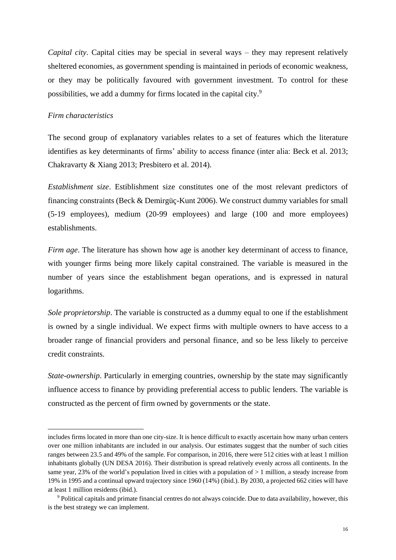*Capital city*. Capital cities may be special in several ways – they may represent relatively sheltered economies, as government spending is maintained in periods of economic weakness, or they may be politically favoured with government investment. To control for these possibilities, we add a dummy for firms located in the capital city.<sup>9</sup>

#### *Firm characteristics*

1

The second group of explanatory variables relates to a set of features which the literature identifies as key determinants of firms' ability to access finance (inter alia: Beck et al. 2013; Chakravarty & Xiang 2013; Presbitero et al. 2014).

*Establishment size*. Estiblishment size constitutes one of the most relevant predictors of financing constraints (Beck & Demirgüç-Kunt 2006). We construct dummy variables for small (5-19 employees), medium (20-99 employees) and large (100 and more employees) establishments.

*Firm age*. The literature has shown how age is another key determinant of access to finance, with younger firms being more likely capital constrained. The variable is measured in the number of years since the establishment began operations, and is expressed in natural logarithms.

*Sole proprietorship*. The variable is constructed as a dummy equal to one if the establishment is owned by a single individual. We expect firms with multiple owners to have access to a broader range of financial providers and personal finance, and so be less likely to perceive credit constraints.

*State-ownership*. Particularly in emerging countries, ownership by the state may significantly influence access to finance by providing preferential access to public lenders. The variable is constructed as the percent of firm owned by governments or the state.

includes firms located in more than one city-size. It is hence difficult to exactly ascertain how many urban centers over one million inhabitants are included in our analysis. Our estimates suggest that the number of such cities ranges between 23.5 and 49% of the sample. For comparison, in 2016, there were 512 cities with at least 1 million inhabitants globally (UN DESA 2016). Their distribution is spread relatively evenly across all continents. In the same year, 23% of the world's population lived in cities with a population of  $> 1$  million, a steady increase from 19% in 1995 and a continual upward trajectory since 1960 (14%) (ibid.). By 2030, a projected 662 cities will have at least 1 million residents (ibid.).

<sup>9</sup> Political capitals and primate financial centres do not always coincide. Due to data availability, however, this is the best strategy we can implement.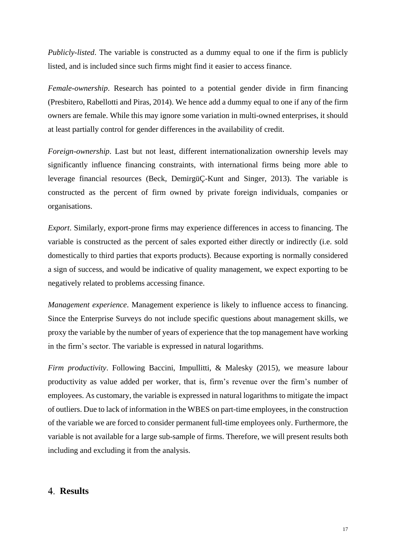*Publicly-listed*. The variable is constructed as a dummy equal to one if the firm is publicly listed, and is included since such firms might find it easier to access finance.

*Female-ownership*. Research has pointed to a potential gender divide in firm financing (Presbitero, Rabellotti and Piras, 2014). We hence add a dummy equal to one if any of the firm owners are female. While this may ignore some variation in multi-owned enterprises, it should at least partially control for gender differences in the availability of credit.

*Foreign-ownership*. Last but not least, different internationalization ownership levels may significantly influence financing constraints, with international firms being more able to leverage financial resources (Beck, DemirgüÇ-Kunt and Singer, 2013). The variable is constructed as the percent of firm owned by private foreign individuals, companies or organisations.

*Export*. Similarly, export-prone firms may experience differences in access to financing. The variable is constructed as the percent of sales exported either directly or indirectly (i.e. sold domestically to third parties that exports products). Because exporting is normally considered a sign of success, and would be indicative of quality management, we expect exporting to be negatively related to problems accessing finance.

*Management experience*. Management experience is likely to influence access to financing. Since the Enterprise Surveys do not include specific questions about management skills, we proxy the variable by the number of years of experience that the top management have working in the firm's sector. The variable is expressed in natural logarithms.

*Firm productivity*. Following Baccini, Impullitti, & Malesky (2015), we measure labour productivity as value added per worker, that is, firm's revenue over the firm's number of employees. As customary, the variable is expressed in natural logarithms to mitigate the impact of outliers. Due to lack of information in the WBES on part-time employees, in the construction of the variable we are forced to consider permanent full-time employees only. Furthermore, the variable is not available for a large sub-sample of firms. Therefore, we will present results both including and excluding it from the analysis.

## **Results**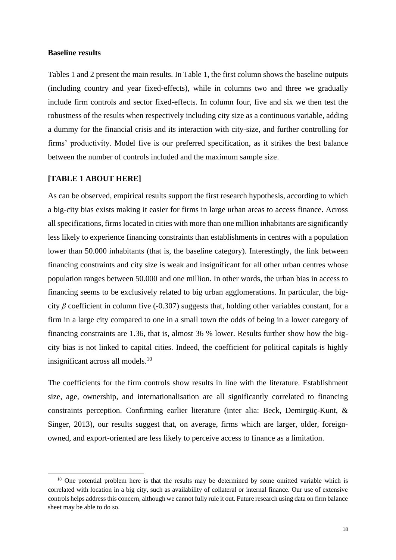#### **Baseline results**

Tables 1 and 2 present the main results. In Table 1, the first column shows the baseline outputs (including country and year fixed-effects), while in columns two and three we gradually include firm controls and sector fixed-effects. In column four, five and six we then test the robustness of the results when respectively including city size as a continuous variable, adding a dummy for the financial crisis and its interaction with city-size, and further controlling for firms' productivity. Model five is our preferred specification, as it strikes the best balance between the number of controls included and the maximum sample size.

### **[TABLE 1 ABOUT HERE]**

1

As can be observed, empirical results support the first research hypothesis, according to which a big-city bias exists making it easier for firms in large urban areas to access finance. Across all specifications, firms located in cities with more than one million inhabitants are significantly less likely to experience financing constraints than establishments in centres with a population lower than 50.000 inhabitants (that is, the baseline category). Interestingly, the link between financing constraints and city size is weak and insignificant for all other urban centres whose population ranges between 50.000 and one million. In other words, the urban bias in access to financing seems to be exclusively related to big urban agglomerations. In particular, the bigcity  $\beta$  coefficient in column five (-0.307) suggests that, holding other variables constant, for a firm in a large city compared to one in a small town the odds of being in a lower category of financing constraints are 1.36, that is, almost 36 % lower. Results further show how the bigcity bias is not linked to capital cities. Indeed, the coefficient for political capitals is highly insignificant across all models. 10

The coefficients for the firm controls show results in line with the literature. Establishment size, age, ownership, and internationalisation are all significantly correlated to financing constraints perception. Confirming earlier literature (inter alia: Beck, Demirgüç-Kunt, & Singer, 2013), our results suggest that, on average, firms which are larger, older, foreignowned, and export-oriented are less likely to perceive access to finance as a limitation.

<sup>&</sup>lt;sup>10</sup> One potential problem here is that the results may be determined by some omitted variable which is correlated with location in a big city, such as availability of collateral or internal finance. Our use of extensive controls helps address this concern, although we cannot fully rule it out. Future research using data on firm balance sheet may be able to do so.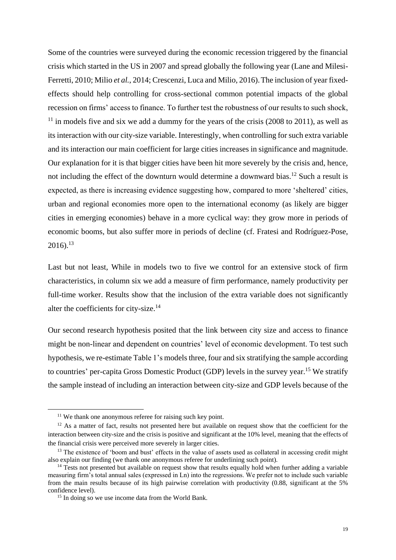Some of the countries were surveyed during the economic recession triggered by the financial crisis which started in the US in 2007 and spread globally the following year (Lane and Milesi-Ferretti, 2010; Milio et al., 2014; Crescenzi, Luca and Milio, 2016). The inclusion of year fixedeffects should help controlling for cross-sectional common potential impacts of the global recession on firms' access to finance. To further test the robustness of our results to such shock,  $11$  in models five and six we add a dummy for the years of the crisis (2008 to 2011), as well as its interaction with our city-size variable. Interestingly, when controlling for such extra variable and its interaction our main coefficient for large cities increases in significance and magnitude. Our explanation for it is that bigger cities have been hit more severely by the crisis and, hence, not including the effect of the downturn would determine a downward bias.<sup>12</sup> Such a result is expected, as there is increasing evidence suggesting how, compared to more 'sheltered' cities, urban and regional economies more open to the international economy (as likely are bigger cities in emerging economies) behave in a more cyclical way: they grow more in periods of economic booms, but also suffer more in periods of decline (cf. Fratesi and Rodríguez-Pose, 2016). 13

Last but not least, While in models two to five we control for an extensive stock of firm characteristics, in column six we add a measure of firm performance, namely productivity per full-time worker. Results show that the inclusion of the extra variable does not significantly alter the coefficients for city-size.<sup>14</sup>

Our second research hypothesis posited that the link between city size and access to finance might be non-linear and dependent on countries' level of economic development. To test such hypothesis, we re-estimate Table 1's models three, four and six stratifying the sample according to countries' per-capita Gross Domestic Product (GDP) levels in the survey year.<sup>15</sup> We stratify the sample instead of including an interaction between city-size and GDP levels because of the

1

<sup>&</sup>lt;sup>11</sup> We thank one anonymous referee for raising such key point.

<sup>&</sup>lt;sup>12</sup> As a matter of fact, results not presented here but available on request show that the coefficient for the interaction between city-size and the crisis is positive and significant at the 10% level, meaning that the effects of the financial crisis were perceived more severely in larger cities.

<sup>&</sup>lt;sup>13</sup> The existence of 'boom and bust' effects in the value of assets used as collateral in accessing credit might also explain our finding (we thank one anonymous referee for underlining such point).

<sup>&</sup>lt;sup>14</sup> Tests not presented but available on request show that results equally hold when further adding a variable measuring firm's total annual sales (expressed in Ln) into the regressions. We prefer not to include such variable from the main results because of its high pairwise correlation with productivity (0.88, significant at the 5% confidence level).

<sup>&</sup>lt;sup>15</sup> In doing so we use income data from the World Bank.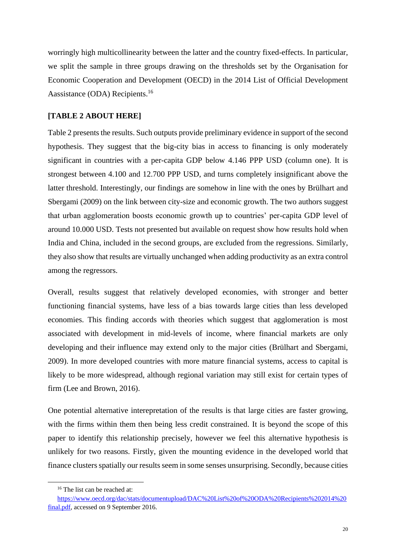worringly high multicollinearity between the latter and the country fixed-effects. In particular, we split the sample in three groups drawing on the thresholds set by the Organisation for Economic Cooperation and Development (OECD) in the 2014 List of Official Development Aassistance (ODA) Recipients.<sup>16</sup>

### **[TABLE 2 ABOUT HERE]**

Table 2 presents the results. Such outputs provide preliminary evidence in support of the second hypothesis. They suggest that the big-city bias in access to financing is only moderately significant in countries with a per-capita GDP below 4.146 PPP USD (column one). It is strongest between 4.100 and 12.700 PPP USD, and turns completely insignificant above the latter threshold. Interestingly, our findings are somehow in line with the ones by Brülhart and Sbergami (2009) on the link between city-size and economic growth. The two authors suggest that urban agglomeration boosts economic growth up to countries' per-capita GDP level of around 10.000 USD. Tests not presented but available on request show how results hold when India and China, included in the second groups, are excluded from the regressions. Similarly, they also show that results are virtually unchanged when adding productivity as an extra control among the regressors.

Overall, results suggest that relatively developed economies, with stronger and better functioning financial systems, have less of a bias towards large cities than less developed economies. This finding accords with theories which suggest that agglomeration is most associated with development in mid-levels of income, where financial markets are only developing and their influence may extend only to the major cities (Brülhart and Sbergami, 2009). In more developed countries with more mature financial systems, access to capital is likely to be more widespread, although regional variation may still exist for certain types of firm (Lee and Brown, 2016).

One potential alternative interepretation of the results is that large cities are faster growing, with the firms within them then being less credit constrained. It is beyond the scope of this paper to identify this relationship precisely, however we feel this alternative hypothesis is unlikely for two reasons. Firstly, given the mounting evidence in the developed world that finance clusters spatially our results seem in some senses unsurprising. Secondly, because cities

<u>.</u>

 $16$  The list can be reached at:

[https://www.oecd.org/dac/stats/documentupload/DAC%20List%20of%20ODA%20Recipients%202014%20](https://www.oecd.org/dac/stats/documentupload/DAC%20List%20of%20ODA%20Recipients%202014%20final.pdf) [final.pdf,](https://www.oecd.org/dac/stats/documentupload/DAC%20List%20of%20ODA%20Recipients%202014%20final.pdf) accessed on 9 September 2016.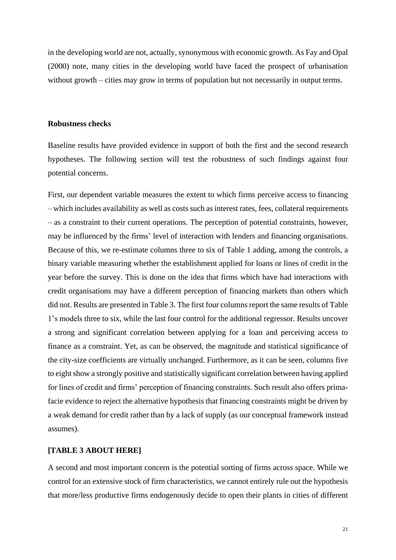in the developing world are not, actually, synonymous with economic growth. As Fay and Opal (2000) note, many cities in the developing world have faced the prospect of urbanisation without growth – cities may grow in terms of population but not necessarily in output terms.

#### **Robustness checks**

Baseline results have provided evidence in support of both the first and the second research hypotheses. The following section will test the robustness of such findings against four potential concerns.

First, our dependent variable measures the extent to which firms perceive access to financing – which includes availability as well as costs such as interest rates, fees, collateral requirements – as a constraint to their current operations. The perception of potential constraints, however, may be influenced by the firms' level of interaction with lenders and financing organisations. Because of this, we re-estimate columns three to six of Table 1 adding, among the controls, a binary variable measuring whether the establishment applied for loans or lines of credit in the year before the survey. This is done on the idea that firms which have had interactions with credit organisations may have a different perception of financing markets than others which did not. Results are presented in Table 3. The first four columns report the same results of Table 1's models three to six, while the last four control for the additional regressor. Results uncover a strong and significant correlation between applying for a loan and perceiving access to finance as a constraint. Yet, as can be observed, the magnitude and statistical significance of the city-size coefficients are virtually unchanged. Furthermore, as it can be seen, columns five to eight show a strongly positive and statistically significant correlation between having applied for lines of credit and firms' perception of financing constraints. Such result also offers primafacie evidence to reject the alternative hypothesis that financing constraints might be driven by a weak demand for credit rather than by a lack of supply (as our conceptual framework instead assumes).

#### **[TABLE 3 ABOUT HERE]**

A second and most important concern is the potential sorting of firms across space. While we control for an extensive stock of firm characteristics, we cannot entirely rule out the hypothesis that more/less productive firms endogenously decide to open their plants in cities of different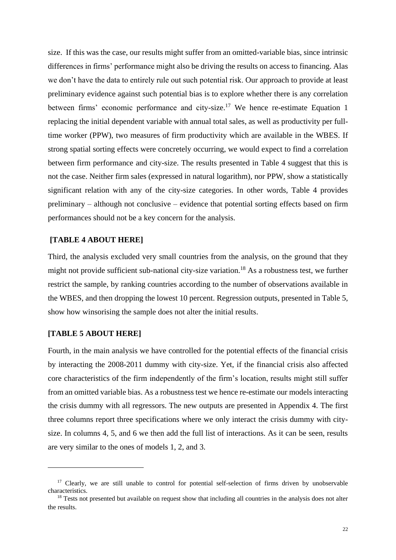size. If this was the case, our results might suffer from an omitted-variable bias, since intrinsic differences in firms' performance might also be driving the results on access to financing. Alas we don't have the data to entirely rule out such potential risk. Our approach to provide at least preliminary evidence against such potential bias is to explore whether there is any correlation between firms' economic performance and city-size.<sup>17</sup> We hence re-estimate Equation 1 replacing the initial dependent variable with annual total sales, as well as productivity per fulltime worker (PPW), two measures of firm productivity which are available in the WBES. If strong spatial sorting effects were concretely occurring, we would expect to find a correlation between firm performance and city-size. The results presented in Table 4 suggest that this is not the case. Neither firm sales (expressed in natural logarithm), nor PPW, show a statistically significant relation with any of the city-size categories. In other words, Table 4 provides preliminary – although not conclusive – evidence that potential sorting effects based on firm performances should not be a key concern for the analysis.

#### **[TABLE 4 ABOUT HERE]**

Third, the analysis excluded very small countries from the analysis, on the ground that they might not provide sufficient sub-national city-size variation.<sup>18</sup> As a robustness test, we further restrict the sample, by ranking countries according to the number of observations available in the WBES, and then dropping the lowest 10 percent. Regression outputs, presented in Table 5, show how winsorising the sample does not alter the initial results.

#### **[TABLE 5 ABOUT HERE]**

<u>.</u>

Fourth, in the main analysis we have controlled for the potential effects of the financial crisis by interacting the 2008-2011 dummy with city-size. Yet, if the financial crisis also affected core characteristics of the firm independently of the firm's location, results might still suffer from an omitted variable bias. As a robustness test we hence re-estimate our models interacting the crisis dummy with all regressors. The new outputs are presented in Appendix 4. The first three columns report three specifications where we only interact the crisis dummy with citysize. In columns 4, 5, and 6 we then add the full list of interactions. As it can be seen, results are very similar to the ones of models 1, 2, and 3.

<sup>&</sup>lt;sup>17</sup> Clearly, we are still unable to control for potential self-selection of firms driven by unobservable characteristics.

<sup>&</sup>lt;sup>18</sup> Tests not presented but available on request show that including all countries in the analysis does not alter the results.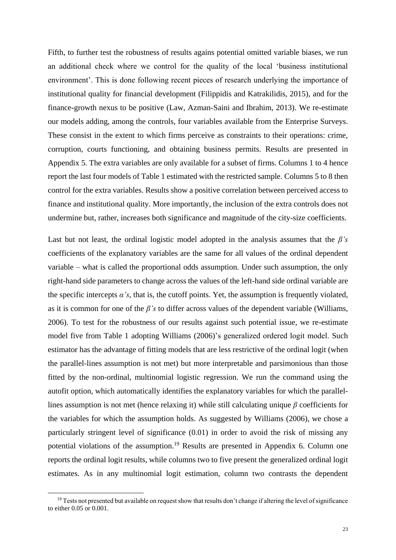Fifth, to further test the robustness of results agains potential omitted variable biases, we run an additional check where we control for the quality of the local 'business institutional environment'. This is done following recent pieces of research underlying the importance of institutional quality for financial development (Filippidis and Katrakilidis, 2015), and for the finance-growth nexus to be positive (Law, Azman-Saini and Ibrahim, 2013). We re-estimate our models adding, among the controls, four variables available from the Enterprise Surveys. These consist in the extent to which firms perceive as constraints to their operations: crime, corruption, courts functioning, and obtaining business permits. Results are presented in Appendix 5. The extra variables are only available for a subset of firms. Columns 1 to 4 hence report the last four models of Table 1 estimated with the restricted sample. Columns 5 to 8 then control for the extra variables. Results show a positive correlation between perceived access to finance and institutional quality. More importantly, the inclusion of the extra controls does not undermine but, rather, increases both significance and magnitude of the city-size coefficients.

Last but not least, the ordinal logistic model adopted in the analysis assumes that the *β's* coefficients of the explanatory variables are the same for all values of the ordinal dependent variable – what is called the proportional odds assumption. Under such assumption, the only right-hand side parameters to change across the values of the left-hand side ordinal variable are the specific intercepts  $\alpha$ 's, that is, the cutoff points. Yet, the assumption is frequently violated, as it is common for one of the *β's* to differ across values of the dependent variable (Williams, 2006). To test for the robustness of our results against such potential issue, we re-estimate model five from Table 1 adopting Williams (2006)'s generalized ordered logit model. Such estimator has the advantage of fitting models that are less restrictive of the ordinal logit (when the parallel-lines assumption is not met) but more interpretable and parsimonious than those fitted by the non-ordinal, multinomial logistic regression. We run the command using the autofit option, which automatically identifies the explanatory variables for which the parallellines assumption is not met (hence relaxing it) while still calculating unique *β* coefficients for the variables for which the assumption holds. As suggested by Williams (2006), we chose a particularly stringent level of significance (0.01) in order to avoid the risk of missing any potential violations of the assumption.<sup>19</sup> Results are presented in Appendix 6. Column one reports the ordinal logit results, while columns two to five present the generalized ordinal logit estimates. As in any multinomial logit estimation, column two contrasts the dependent

1

<sup>&</sup>lt;sup>19</sup> Tests not presented but available on request show that results don't change if altering the level of significance to either 0.05 or 0.001.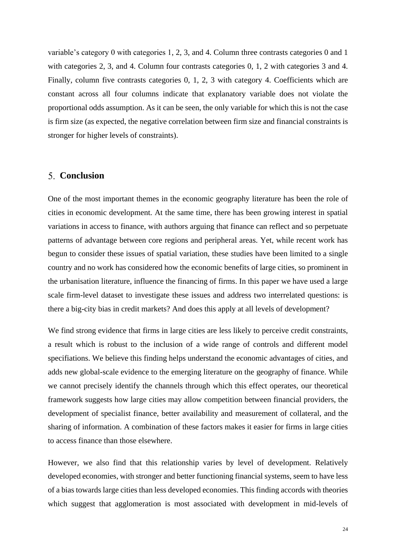variable's category 0 with categories 1, 2, 3, and 4. Column three contrasts categories 0 and 1 with categories 2, 3, and 4. Column four contrasts categories 0, 1, 2 with categories 3 and 4. Finally, column five contrasts categories 0, 1, 2, 3 with category 4. Coefficients which are constant across all four columns indicate that explanatory variable does not violate the proportional odds assumption. As it can be seen, the only variable for which this is not the case is firm size (as expected, the negative correlation between firm size and financial constraints is stronger for higher levels of constraints).

## **Conclusion**

One of the most important themes in the economic geography literature has been the role of cities in economic development. At the same time, there has been growing interest in spatial variations in access to finance, with authors arguing that finance can reflect and so perpetuate patterns of advantage between core regions and peripheral areas. Yet, while recent work has begun to consider these issues of spatial variation, these studies have been limited to a single country and no work has considered how the economic benefits of large cities, so prominent in the urbanisation literature, influence the financing of firms. In this paper we have used a large scale firm-level dataset to investigate these issues and address two interrelated questions: is there a big-city bias in credit markets? And does this apply at all levels of development?

We find strong evidence that firms in large cities are less likely to perceive credit constraints, a result which is robust to the inclusion of a wide range of controls and different model specifiations. We believe this finding helps understand the economic advantages of cities, and adds new global-scale evidence to the emerging literature on the geography of finance. While we cannot precisely identify the channels through which this effect operates, our theoretical framework suggests how large cities may allow competition between financial providers, the development of specialist finance, better availability and measurement of collateral, and the sharing of information. A combination of these factors makes it easier for firms in large cities to access finance than those elsewhere.

However, we also find that this relationship varies by level of development. Relatively developed economies, with stronger and better functioning financial systems, seem to have less of a bias towards large cities than less developed economies. This finding accords with theories which suggest that agglomeration is most associated with development in mid-levels of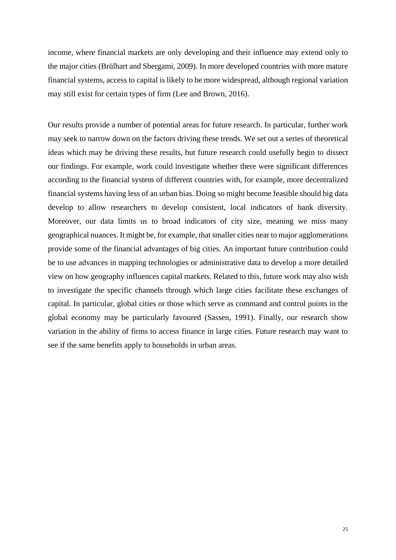income, where financial markets are only developing and their influence may extend only to the major cities (Brülhart and Sbergami, 2009). In more developed countries with more mature financial systems, access to capital is likely to be more widespread, although regional variation may still exist for certain types of firm (Lee and Brown, 2016).

Our results provide a number of potential areas for future research. In particular, further work may seek to narrow down on the factors driving these trends. We set out a series of theoretical ideas which may be driving these results, but future research could usefully begin to dissect our findings. For example, work could investigate whether there were significant differences according to the financial system of different countries with, for example, more decentralized financial systems having less of an urban bias. Doing so might become feasible should big data develop to allow researchers to develop consistent, local indicators of bank diversity. Moreover, our data limits us to broad indicators of city size, meaning we miss many geographical nuances. It might be, for example, that smaller cities near to major agglomerations provide some of the financial advantages of big cities. An important future contribution could be to use advances in mapping technologies or administrative data to develop a more detailed view on how geography influences capital markets. Related to this, future work may also wish to investigate the specific channels through which large cities facilitate these exchanges of capital. In particular, global cities or those which serve as command and control points in the global economy may be particularly favoured (Sassen, 1991). Finally, our research show variation in the ability of firms to access finance in large cities. Future research may want to see if the same benefits apply to households in urban areas.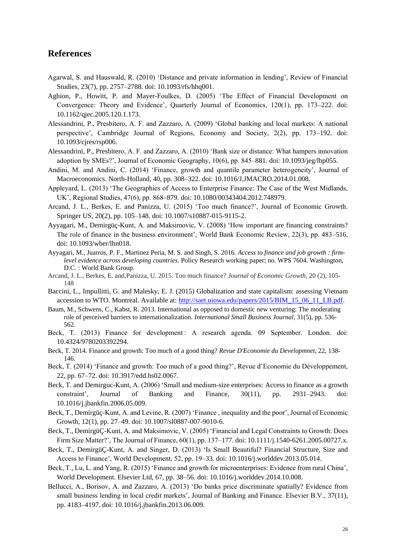## **References**

- Agarwal, S. and Hauswald, R. (2010) 'Distance and private information in lending', Review of Financial Studies, 23(7), pp. 2757–2788. doi: 10.1093/rfs/hhq001.
- Aghion, P., Howitt, P. and Mayer-Foulkes, D. (2005) 'The Effect of Financial Development on Convergence: Theory and Evidence', Quarterly Journal of Economics, 120(1), pp. 173–222. doi: 10.1162/qjec.2005.120.1.173.
- Alessandrini, P., Presbitero, A. F. and Zazzaro, A. (2009) 'Global banking and local markets: A national perspective', Cambridge Journal of Regions, Economy and Society, 2(2), pp. 173–192. doi: 10.1093/cjres/rsp006.
- Alessandrini, P., Presbitero, A. F. and Zazzaro, A. (2010) 'Bank size or distance: What hampers innovation adoption by SMEs?', Journal of Economic Geography, 10(6), pp. 845–881. doi: 10.1093/jeg/lbp055.
- Andini, M. and Andini, C. (2014) 'Finance, growth and quantile parameter heterogeneity', Journal of Macroeconomics. North-Holland, 40, pp. 308–322. doi: 10.1016/J.JMACRO.2014.01.008.
- Appleyard, L. (2013) 'The Geographies of Access to Enterprise Finance: The Case of the West Midlands, UK', Regional Studies, 47(6), pp. 868–879. doi: 10.1080/00343404.2012.748979.
- Arcand, J. L., Berkes, E. and Panizza, U. (2015) 'Too much finance?', Journal of Economic Growth. Springer US, 20(2), pp. 105–148. doi: 10.1007/s10887-015-9115-2.
- Ayyagari, M., Demirgüç-Kunt, A. and Maksimovic, V. (2008) 'How important are financing constraints? The role of finance in the business environment', World Bank Economic Review, 22(3), pp. 483–516. doi: 10.1093/wber/lhn018.
- Ayyagari, M., Juarros, P. F., Martinez Peria, M. S. and Singh, S. 2016. *Access to finance and job growth : firmlevel evidence across developing countries*. Policy Research working paper; no. WPS 7604. Washington, D.C. : World Bank Group.
- Arcand, J. L., Berkes, E. and,Panizza, U. 2015. Too much finance? *Journal of Economic Growth,* 20 (2), 105- 148
- Baccini, L., Impullitti, G. and Malesky, E. J. (2015) Globalization and state capitalism: assessing Vietnam accession to WTO. Montreal. Available at: [http://saet.uiowa.edu/papers/2015/BIM\\_15\\_06\\_11\\_LB.pdf.](http://saet.uiowa.edu/papers/2015/BIM_15_06_11_LB.pdf)
- Baum, M., Schwens, C., Kabst, R. 2013. International as opposed to domestic new venturing: The moderating role of perceived barriers to internationalization. *International Small Business Journal*, 31(5), pp. 536- 562.
- Beck, T. (2013) Finance for development: A research agenda. 09 September. London. doi: 10.4324/9780203392294.
- Beck, T. 2014. Finance and growth: Too much of a good thing? *Revue D'Economie du Developmnet,* 22, 138- 146.
- Beck, T. (2014) 'Finance and growth: Too much of a good thing?', Revue d'Economie du Développement, 22, pp. 67–72. doi: 10.3917/edd.hs02.0067.
- Beck, T. and Demirguc-Kunt, A. (2006) 'Small and medium-size enterprises: Access to finance as a growth constraint', Journal of Banking and Finance, 30(11), pp. 2931–2943. doi: 10.1016/j.jbankfin.2006.05.009.
- Beck, T., Demirgüç-Kunt, A. and Levine, R. (2007) 'Finance , inequality and the poor', Journal of Economic Growth, 12(1), pp. 27–49. doi: 10.1007/sl0887-007-9010-6.
- Beck, T., DemirgüÇ-Kunt, A. and Maksimovic, V. (2005) 'Financial and Legal Constraints to Growth: Does Firm Size Matter?', The Journal of Finance, 60(1), pp. 137–177. doi: 10.1111/j.1540-6261.2005.00727.x.
- Beck, T., DemirgüÇ-Kunt, A. and Singer, D. (2013) 'Is Small Beautiful? Financial Structure, Size and Access to Finance', World Development, 52, pp. 19–33. doi: 10.1016/j.worlddev.2013.05.014.
- Beck, T., Lu, L. and Yang, R. (2015) 'Finance and growth for microenterprises: Evidence from rural China', World Development. Elsevier Ltd, 67, pp. 38–56. doi: 10.1016/j.worlddev.2014.10.008.
- Bellucci, A., Borisov, A. and Zazzaro, A. (2013) 'Do banks price discriminate spatially? Evidence from small business lending in local credit markets', Journal of Banking and Finance. Elsevier B.V., 37(11), pp. 4183–4197. doi: 10.1016/j.jbankfin.2013.06.009.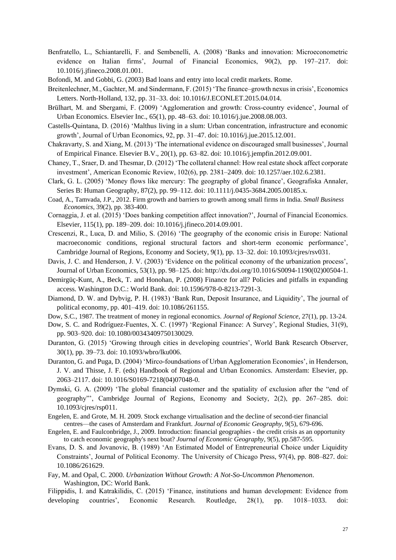- Benfratello, L., Schiantarelli, F. and Sembenelli, A. (2008) 'Banks and innovation: Microeconometric evidence on Italian firms', Journal of Financial Economics, 90(2), pp. 197–217. doi: 10.1016/j.jfineco.2008.01.001.
- Bofondi, M. and Gobbi, G. (2003) Bad loans and entry into local credit markets. Rome.
- Breitenlechner, M., Gachter, M. and Sindermann, F. (2015) 'The finance–growth nexus in crisis', Economics Letters. North-Holland, 132, pp. 31–33. doi: 10.1016/J.ECONLET.2015.04.014.
- Brülhart, M. and Sbergami, F. (2009) 'Agglomeration and growth: Cross-country evidence', Journal of Urban Economics. Elsevier Inc., 65(1), pp. 48–63. doi: 10.1016/j.jue.2008.08.003.
- Castells-Quintana, D. (2016) 'Malthus living in a slum: Urban concentration, infrastructure and economic growth', Journal of Urban Economics, 92, pp. 31–47. doi: 10.1016/j.jue.2015.12.001.
- Chakravarty, S. and Xiang, M. (2013) 'The international evidence on discouraged small businesses', Journal of Empirical Finance. Elsevier B.V., 20(1), pp. 63–82. doi: 10.1016/j.jempfin.2012.09.001.
- Chaney, T., Sraer, D. and Thesmar, D. (2012) 'The collateral channel: How real estate shock affect corporate investment', American Economic Review, 102(6), pp. 2381–2409. doi: 10.1257/aer.102.6.2381.
- Clark, G. L. (2005) 'Money flows like mercury: The geography of global finance', Geografiska Annaler, Series B: Human Geography, 87(2), pp. 99–112. doi: 10.1111/j.0435-3684.2005.00185.x.
- Coad, A., Tamvada, J.P., 2012. Firm growth and barriers to growth among small firms in India. *Small Business Economics*, 39(2), pp. 383-400.
- Cornaggia, J. et al. (2015) 'Does banking competition affect innovation?', Journal of Financial Economics. Elsevier, 115(1), pp. 189–209. doi: 10.1016/j.jfineco.2014.09.001.
- Crescenzi, R., Luca, D. and Milio, S. (2016) 'The geography of the economic crisis in Europe: National macroeconomic conditions, regional structural factors and short-term economic performance', Cambridge Journal of Regions, Economy and Society, 9(1), pp. 13–32. doi: 10.1093/cjres/rsv031.
- Davis, J. C. and Henderson, J. V. (2003) 'Evidence on the political economy of the urbanization process', Journal of Urban Economics, 53(1), pp. 98–125. doi: http://dx.doi.org/10.1016/S0094-1190(02)00504-1.
- Demirgüç-Kunt, A., Beck, T. and Honohan, P. (2008) Finance for all? Policies and pitfalls in expanding access. Washington D.C.: World Bank. doi: 10.1596/978-0-8213-7291-3.
- Diamond, D. W. and Dybvig, P. H. (1983) 'Bank Run, Deposit Insurance, and Liquidity', The journal of political economy, pp. 401–419. doi: 10.1086/261155.
- Dow, S.C., 1987. The treatment of money in regional economics. *Journal of Regional Science*, 27(1), pp. 13-24.
- Dow, S. C. and Rodríguez-Fuentes, X. C. (1997) 'Regional Finance: A Survey', Regional Studies, 31(9), pp. 903–920. doi: 10.1080/00343409750130029.
- Duranton, G. (2015) 'Growing through cities in developing countries', World Bank Research Observer, 30(1), pp. 39–73. doi: 10.1093/wbro/lku006.
- Duranton, G. and Puga, D. (2004) 'Mirco-foundsations of Urban Agglomeration Economies', in Henderson, J. V. and Thisse, J. F. (eds) Handbook of Regional and Urban Economics. Amsterdam: Elsevier, pp. 2063–2117. doi: 10.1016/S0169-7218(04)07048-0.
- Dymski, G. A. (2009) 'The global financial customer and the spatiality of exclusion after the "end of geography"', Cambridge Journal of Regions, Economy and Society, 2(2), pp. 267–285. doi: 10.1093/cjres/rsp011.
- Engelen, E. and Grote, M. H. 2009. Stock exchange virtualisation and the decline of second-tier financial centres—the cases of Amsterdam and Frankfurt. *Journal of Economic Geography*, 9(5), 679-696.
- Engelen, E. and Faulconbridge, J., 2009. Introduction: financial geographies the credit crisis as an opportunity to catch economic geography's next boat? *Journal of Economic Geography*, 9(5), pp.587-595.
- Evans, D. S. and Jovanovic, B. (1989) 'An Estimated Model of Entrepreneurial Choice under Liquidity Constraints', Journal of Political Economy. The University of Chicago Press, 97(4), pp. 808–827. doi: 10.1086/261629.
- Fay, M. and Opal, C. 2000. *Urbanization Without Growth: A Not-So-Uncommon Phenomenon*. Washington, DC: World Bank.

Filippidis, I. and Katrakilidis, C. (2015) 'Finance, institutions and human development: Evidence from developing countries', Economic Research. Routledge, 28(1), pp. 1018–1033. doi: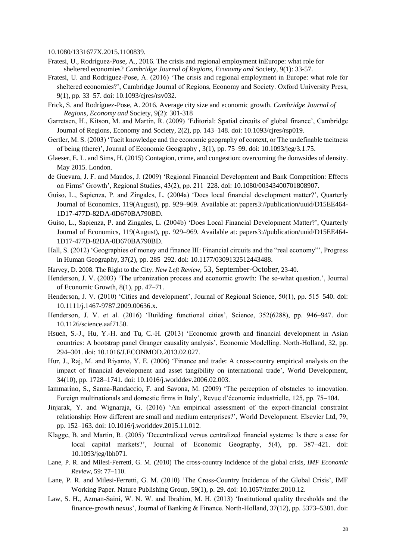10.1080/1331677X.2015.1100839.

- Fratesi, U., Rodríguez-Pose, A., 2016. The crisis and regional employment inEurope: what role for sheltered economies? *Cambridge Journal of Regions, Economy and* Society, 9(1): 33-57.
- Fratesi, U. and Rodríguez-Pose, A. (2016) 'The crisis and regional employment in Europe: what role for sheltered economies?', Cambridge Journal of Regions, Economy and Society. Oxford University Press, 9(1), pp. 33–57. doi: 10.1093/cjres/rsv032.
- Frick, S. and Rodríguez-Pose, A. 2016. Average city size and economic growth. *Cambridge Journal of Regions, Economy and* Society, 9(2): 301-318
- Garretsen, H., Kitson, M. and Martin, R. (2009) 'Editorial: Spatial circuits of global finance', Cambridge Journal of Regions, Economy and Society, 2(2), pp. 143–148. doi: 10.1093/cjres/rsp019.
- Gertler, M. S. (2003) 'Tacit knowledge and the economic geography of context, or The undefinable tacitness of being (there)', Journal of Economic Geography , 3(1), pp. 75–99. doi: 10.1093/jeg/3.1.75.
- Glaeser, E. L. and Sims, H. (2015) Contagion, crime, and congestion: overcoming the donwsides of density. May 2015. London.
- de Guevara, J. F. and Maudos, J. (2009) 'Regional Financial Development and Bank Competition: Effects on Firms' Growth', Regional Studies, 43(2), pp. 211–228. doi: 10.1080/00343400701808907.
- Guiso, L., Sapienza, P. and Zingales, L. (2004a) 'Does local financial development matter?', Quarterly Journal of Economics, 119(August), pp. 929–969. Available at: papers3://publication/uuid/D15EE464- 1D17-477D-82DA-0D670BA790BD.
- Guiso, L., Sapienza, P. and Zingales, L. (2004b) 'Does Local Financial Development Matter?', Quarterly Journal of Economics, 119(August), pp. 929–969. Available at: papers3://publication/uuid/D15EE464- 1D17-477D-82DA-0D670BA790BD.
- Hall, S. (2012) 'Geographies of money and finance III: Financial circuits and the "real economy"', Progress in Human Geography, 37(2), pp. 285–292. doi: 10.1177/0309132512443488.
- Harvey, D. 2008. The Right to the City. *New Left Review*, 53, September-October, 23-40.
- Henderson, J. V. (2003) 'The urbanization process and economic growth: The so-what question.', Journal of Economic Growth, 8(1), pp. 47–71.
- Henderson, J. V. (2010) 'Cities and development', Journal of Regional Science, 50(1), pp. 515–540. doi: 10.1111/j.1467-9787.2009.00636.x.
- Henderson, J. V. et al. (2016) 'Building functional cities', Science, 352(6288), pp. 946–947. doi: 10.1126/science.aaf7150.
- Hsueh, S.-J., Hu, Y.-H. and Tu, C.-H. (2013) 'Economic growth and financial development in Asian countries: A bootstrap panel Granger causality analysis', Economic Modelling. North-Holland, 32, pp. 294–301. doi: 10.1016/J.ECONMOD.2013.02.027.
- Hur, J., Raj, M. and Riyanto, Y. E. (2006) 'Finance and trade: A cross-country empirical analysis on the impact of financial development and asset tangibility on international trade', World Development, 34(10), pp. 1728–1741. doi: 10.1016/j.worlddev.2006.02.003.
- Iammarino, S., Sanna-Randaccio, F. and Savona, M. (2009) 'The perception of obstacles to innovation. Foreign multinationals and domestic firms in Italy', Revue d'économie industrielle, 125, pp. 75–104.
- Jinjarak, Y. and Wignaraja, G. (2016) 'An empirical assessment of the export-financial constraint relationship: How different are small and medium enterprises?', World Development. Elsevier Ltd, 79, pp. 152–163. doi: 10.1016/j.worlddev.2015.11.012.
- Klagge, B. and Martin, R. (2005) 'Decentralized versus centralized financial systems: Is there a case for local capital markets?', Journal of Economic Geography, 5(4), pp. 387–421. doi: 10.1093/jeg/lbh071.
- Lane, P. R. and Milesi-Ferretti, G. M. (2010) The cross-country incidence of the global crisis, *IMF Economic Review*, 59: 77–110.
- Lane, P. R. and Milesi-Ferretti, G. M. (2010) 'The Cross-Country Incidence of the Global Crisis', IMF Working Paper. Nature Publishing Group, 59(1), p. 29. doi: 10.1057/imfer.2010.12.
- Law, S. H., Azman-Saini, W. N. W. and Ibrahim, M. H. (2013) 'Institutional quality thresholds and the finance-growth nexus', Journal of Banking & Finance. North-Holland, 37(12), pp. 5373–5381. doi: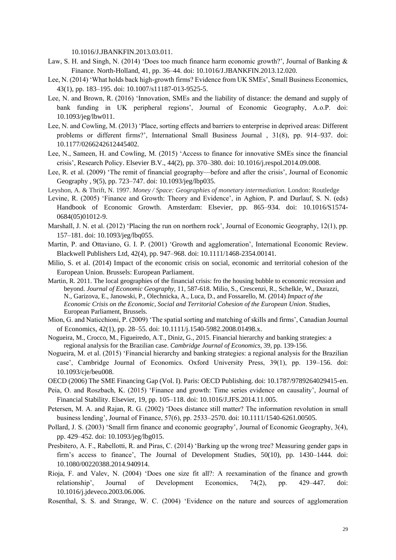10.1016/J.JBANKFIN.2013.03.011.

- Law, S. H. and Singh, N. (2014) 'Does too much finance harm economic growth?', Journal of Banking & Finance. North-Holland, 41, pp. 36–44. doi: 10.1016/J.JBANKFIN.2013.12.020.
- Lee, N. (2014) 'What holds back high-growth firms? Evidence from UK SMEs', Small Business Economics, 43(1), pp. 183–195. doi: 10.1007/s11187-013-9525-5.
- Lee, N. and Brown, R. (2016) 'Innovation, SMEs and the liability of distance: the demand and supply of bank funding in UK peripheral regions', Journal of Economic Geography, A.o.P. doi: 10.1093/jeg/lbw011.
- Lee, N. and Cowling, M. (2013) 'Place, sorting effects and barriers to enterprise in deprived areas: Different problems or different firms?', International Small Business Journal , 31(8), pp. 914–937. doi: 10.1177/0266242612445402.
- Lee, N., Sameen, H. and Cowling, M. (2015) 'Access to finance for innovative SMEs since the financial crisis', Research Policy. Elsevier B.V., 44(2), pp. 370–380. doi: 10.1016/j.respol.2014.09.008.
- Lee, R. et al. (2009) 'The remit of financial geography—before and after the crisis', Journal of Economic Geography , 9(5), pp. 723–747. doi: 10.1093/jeg/lbp035.
- Leyshon, A. & Thrift, N. 1997. *Money / Space: Geographies of monetary intermediation.* London: Routledge
- Levine, R. (2005) 'Finance and Growth: Theory and Evidence', in Aghion, P. and Durlauf, S. N. (eds) Handbook of Economic Growth. Amsterdam: Elsevier, pp. 865–934. doi: 10.1016/S1574- 0684(05)01012-9.
- Marshall, J. N. et al. (2012) 'Placing the run on northern rock', Journal of Economic Geography, 12(1), pp. 157–181. doi: 10.1093/jeg/lbq055.
- Martin, P. and Ottaviano, G. I. P. (2001) 'Growth and agglomeration', International Economic Review. Blackwell Publishers Ltd, 42(4), pp. 947–968. doi: 10.1111/1468-2354.00141.
- Milio, S. et al. (2014) Impact of the economic crisis on social, economic and territorial cohesion of the European Union. Brussels: European Parliament.
- Martin, R. 2011. The local geographies of the financial crisis: fro the housing bubble to economic recession and beyond. *Journal of Economic Geography,* 11, 587-618. Milio, S., Crescenzi, R., Schelkle, W., Durazzi, N., Garizova, E., Janowski, P., Olechnicka, A., Luca, D., and Fossarello, M. (2014) *Impact of the Economic Crisis on the Economic, Social and Territorial Cohesion of the European Union*. Studies, European Parliament, Brussels.
- Mion, G. and Naticchioni, P. (2009) 'The spatial sorting and matching of skills and firms', Canadian Journal of Economics, 42(1), pp. 28–55. doi: 10.1111/j.1540-5982.2008.01498.x.
- Nogueira, M., Crocco, M., Figueiredo, A.T., Diniz, G., 2015. Financial hierarchy and banking strategies: a regional analysis for the Brazilian case. *Cambridge Journal of Economics*, 39, pp. 139-156.
- Nogueira, M. et al. (2015) 'Financial hierarchy and banking strategies: a regional analysis for the Brazilian case', Cambridge Journal of Economics. Oxford University Press, 39(1), pp. 139–156. doi: 10.1093/cje/beu008.
- OECD (2006) The SME Financing Gap (Vol. I). Paris: OECD Publishing. doi: 10.1787/9789264029415-en.
- Peia, O. and Roszbach, K. (2015) 'Finance and growth: Time series evidence on causality', Journal of Financial Stability. Elsevier, 19, pp. 105–118. doi: 10.1016/J.JFS.2014.11.005.
- Petersen, M. A. and Rajan, R. G. (2002) 'Does distance still matter? The information revolution in small business lending', Journal of Finance, 57(6), pp. 2533–2570. doi: 10.1111/1540-6261.00505.
- Pollard, J. S. (2003) 'Small firm finance and economic geography', Journal of Economic Geography, 3(4), pp. 429–452. doi: 10.1093/jeg/lbg015.
- Presbitero, A. F., Rabellotti, R. and Piras, C. (2014) 'Barking up the wrong tree? Measuring gender gaps in firm's access to finance', The Journal of Development Studies, 50(10), pp. 1430–1444. doi: 10.1080/00220388.2014.940914.
- Rioja, F. and Valev, N. (2004) 'Does one size fit all?: A reexamination of the finance and growth relationship', Journal of Development Economics, 74(2), pp. 429–447. doi: 10.1016/j.jdeveco.2003.06.006.
- Rosenthal, S. S. and Strange, W. C. (2004) 'Evidence on the nature and sources of agglomeration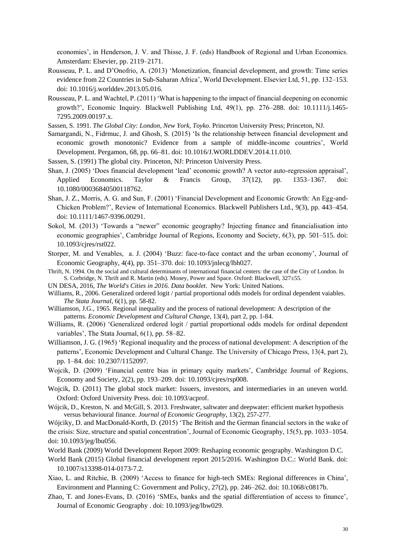economies', in Henderson, J. V. and Thisse, J. F. (eds) Handbook of Regional and Urban Economics. Amsterdam: Elsevier, pp. 2119–2171.

- Rousseau, P. L. and D'Onofrio, A. (2013) 'Monetization, financial development, and growth: Time series evidence from 22 Countries in Sub-Saharan Africa', World Development. Elsevier Ltd, 51, pp. 132–153. doi: 10.1016/j.worlddev.2013.05.016.
- Rousseau, P. L. and Wachtel, P. (2011) 'What is happening to the impact of financial deepening on economic growth?', Economic Inquiry. Blackwell Publishing Ltd, 49(1), pp. 276–288. doi: 10.1111/j.1465- 7295.2009.00197.x.
- Sassen, S. 1991. *The Global City: London, New York, Toyko*. Princeton University Press; Princeton, NJ.
- Samargandi, N., Fidrmuc, J. and Ghosh, S. (2015) 'Is the relationship between financial development and economic growth monotonic? Evidence from a sample of middle-income countries', World Development. Pergamon, 68, pp. 66–81. doi: 10.1016/J.WORLDDEV.2014.11.010.
- Sassen, S. (1991) The global city. Princeton, NJ: Princeton University Press.
- Shan, J. (2005) 'Does financial development 'lead' economic growth? A vector auto-regression appraisal', Applied Economics. Taylor & Francis Group, 37(12), pp. 1353–1367. doi: 10.1080/00036840500118762.
- Shan, J. Z., Morris, A. G. and Sun, F. (2001) 'Financial Development and Economic Growth: An Egg-and-Chicken Problem?', Review of International Economics. Blackwell Publishers Ltd., 9(3), pp. 443–454. doi: 10.1111/1467-9396.00291.
- Sokol, M. (2013) 'Towards a "newer" economic geography? Injecting finance and financialisation into economic geographies', Cambridge Journal of Regions, Economy and Society, 6(3), pp. 501–515. doi: 10.1093/cjres/rst022.
- Storper, M. and Venables, a. J. (2004) 'Buzz: face-to-face contact and the urban economy', Journal of Economic Geography, 4(4), pp. 351–370. doi: 10.1093/jnlecg/lbh027.
- Thrift, N. 1994. On the social and cultural determinants of international financial centers: the case of the City of London. In S. Corbridge, N. Thrift and R. Martin (eds). Money, Power and Space. Oxford: Blackwell, 327±55.
- UN DESA, 2016, *The World's Cities in 2016. Data booklet*. New York: United Nations.
- Williams, R., 2006. Generalized ordered logit / partial proportional odds models for ordinal dependent vaiables. *The Stata Journal*, 6(1), pp. 58-82.
- Williamson, J.G., 1965. Regional inequality and the process of national development: A description of the patterns. *Economic Development and Cultural Change*, 13(4), part 2, pp. 1-84.
- Williams, R. (2006) 'Generalized ordered logit / partial proportional odds models for ordinal dependent variables', The Stata Journal, 6(1), pp. 58–82.
- Williamson, J. G. (1965) 'Regional inequality and the process of national development: A description of the patterns', Economic Development and Cultural Change. The University of Chicago Press, 13(4, part 2), pp. 1–84. doi: 10.2307/1152097.
- Wojcik, D. (2009) 'Financial centre bias in primary equity markets', Cambridge Journal of Regions, Economy and Society, 2(2), pp. 193–209. doi: 10.1093/cjres/rsp008.
- Wojcik, D. (2011) The global stock market: Issuers, investors, and intermediaries in an uneven world. Oxford: Oxford University Press. doi: 10.1093/acprof.
- Wójcik, D., Kreston, N. and McGill, S. 2013. Freshwater, saltwater and deepwater: efficient market hypothesis versus behavioural finance. *Journal of Economic Geography,* 13(2), 257-277.

Wójciky, D. and MacDonald-Korth, D. (2015) 'The British and the German financial sectors in the wake of the crisis: Size, structure and spatial concentration', Journal of Economic Geography, 15(5), pp. 1033–1054. doi: 10.1093/jeg/lbu056.

- World Bank (2009) World Development Report 2009: Reshaping economic geography. Washington D.C.
- World Bank (2015) Global financial development report 2015/2016. Washington D.C.: World Bank. doi: 10.1007/s13398-014-0173-7.2.
- Xiao, L. and Ritchie, B. (2009) 'Access to finance for high-tech SMEs: Regional differences in China', Environment and Planning C: Government and Policy, 27(2), pp. 246–262. doi: 10.1068/c0817b.
- Zhao, T. and Jones-Evans, D. (2016) 'SMEs, banks and the spatial differentiation of access to finance', Journal of Economic Geography . doi: 10.1093/jeg/lbw029.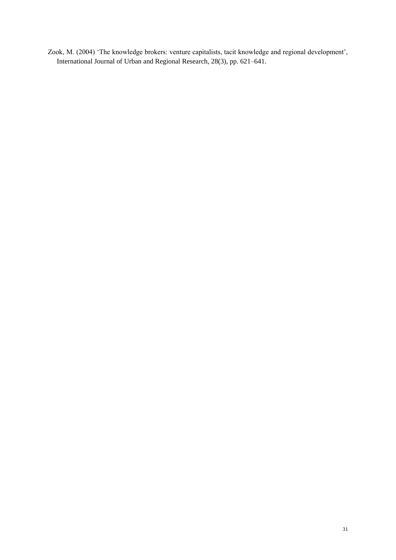Zook, M. (2004) 'The knowledge brokers: venture capitalists, tacit knowledge and regional development', International Journal of Urban and Regional Research, 28(3), pp. 621–641.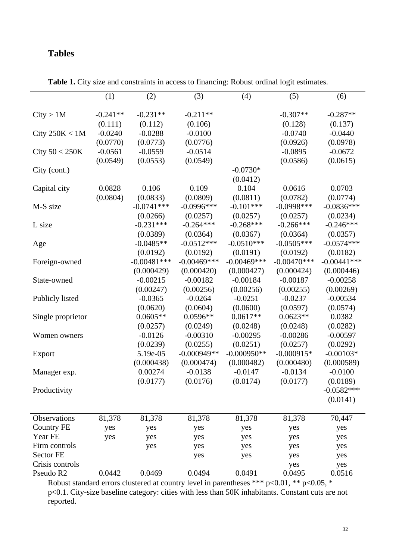## **Tables**

|                   | (1)        | (2)           | (3)            | (4)           | (5)            | (6)            |
|-------------------|------------|---------------|----------------|---------------|----------------|----------------|
|                   |            |               |                |               |                |                |
| City > 1M         | $-0.241**$ | $-0.231**$    | $-0.211**$     |               | $-0.307**$     | $-0.287**$     |
|                   | (0.111)    | (0.112)       | (0.106)        |               | (0.128)        | (0.137)        |
| City $250K < 1M$  | $-0.0240$  | $-0.0288$     | $-0.0100$      |               | $-0.0740$      | $-0.0440$      |
|                   | (0.0770)   | (0.0773)      | (0.0776)       |               | (0.0926)       | (0.0978)       |
| City $50 < 250K$  | $-0.0561$  | $-0.0559$     | $-0.0514$      |               | $-0.0895$      | $-0.0672$      |
|                   | (0.0549)   | (0.0553)      | (0.0549)       |               | (0.0586)       | (0.0615)       |
| City (cont.)      |            |               |                | $-0.0730*$    |                |                |
|                   |            |               |                | (0.0412)      |                |                |
| Capital city      | 0.0828     | 0.106         | 0.109          | 0.104         | 0.0616         | 0.0703         |
|                   | (0.0804)   | (0.0833)      | (0.0809)       | (0.0811)      | (0.0782)       | (0.0774)       |
| M-S size          |            | $-0.0741***$  | $-0.0996***$   | $-0.101***$   | $-0.0998***$   | $-0.0836***$   |
|                   |            | (0.0266)      | (0.0257)       | (0.0257)      | (0.0257)       | (0.0234)       |
| L size            |            | $-0.231***$   | $-0.264***$    | $-0.268***$   | $-0.266***$    | $-0.246***$    |
|                   |            | (0.0389)      | (0.0364)       | (0.0367)      | (0.0364)       | (0.0357)       |
| Age               |            | $-0.0485**$   | $-0.0512***$   | $-0.0510***$  | $-0.0505***$   | $-0.0574***$   |
|                   |            | (0.0192)      | (0.0192)       | (0.0191)      | (0.0192)       | (0.0182)       |
| Foreign-owned     |            | $-0.00481***$ | $-0.00469$ *** | $-0.00469***$ | $-0.00470$ *** | $-0.00441$ *** |
|                   |            | (0.000429)    | (0.000420)     | (0.000427)    | (0.000424)     | (0.000446)     |
| State-owned       |            | $-0.00215$    | $-0.00182$     | $-0.00184$    | $-0.00187$     | $-0.00258$     |
|                   |            | (0.00247)     | (0.00256)      | (0.00256)     | (0.00255)      | (0.00269)      |
| Publicly listed   |            | $-0.0365$     | $-0.0264$      | $-0.0251$     | $-0.0237$      | $-0.00534$     |
|                   |            | (0.0620)      | (0.0604)       | (0.0600)      | (0.0597)       | (0.0574)       |
| Single proprietor |            | $0.0605**$    | $0.0596**$     | $0.0617**$    | $0.0623**$     | 0.0382         |
|                   |            | (0.0257)      | (0.0249)       | (0.0248)      | (0.0248)       | (0.0282)       |
| Women owners      |            | $-0.0126$     | $-0.00310$     | $-0.00295$    | $-0.00286$     | $-0.00597$     |
|                   |            | (0.0239)      | (0.0255)       | (0.0251)      | (0.0257)       | (0.0292)       |
| Export            |            | 5.19e-05      | $-0.000949**$  | $-0.000950**$ | $-0.000915*$   | $-0.00103*$    |
|                   |            | (0.000438)    | (0.000474)     | (0.000482)    | (0.000480)     | (0.000589)     |
| Manager exp.      |            | 0.00274       | $-0.0138$      | $-0.0147$     | $-0.0134$      | $-0.0100$      |
|                   |            | (0.0177)      | (0.0176)       | (0.0174)      | (0.0177)       | (0.0189)       |
| Productivity      |            |               |                |               |                | $-0.0582***$   |
|                   |            |               |                |               |                | (0.0141)       |
|                   |            |               |                |               |                |                |
| Observations      | 81,378     | 81,378        | 81,378         | 81,378        | 81,378         | 70,447         |
| <b>Country FE</b> | yes        | yes           | yes            | yes           | yes            | yes            |
| Year FE           | yes        | yes           | yes            | yes           | yes            | yes            |
| Firm controls     |            | yes           | yes            | yes           | yes            | yes            |
| <b>Sector FE</b>  |            |               | yes            | yes           | yes            | yes            |
| Crisis controls   |            |               |                |               | yes            | yes            |
| Pseudo R2         | 0.0442     | 0.0469        | 0.0494         | 0.0491        | 0.0495         | 0.0516         |

**Table 1.** City size and constraints in access to financing: Robust ordinal logit estimates.

Robust standard errors clustered at country level in parentheses \*\*\* p<0.01, \*\* p<0.05, \* p<0.1. City-size baseline category: cities with less than 50K inhabitants. Constant cuts are not reported.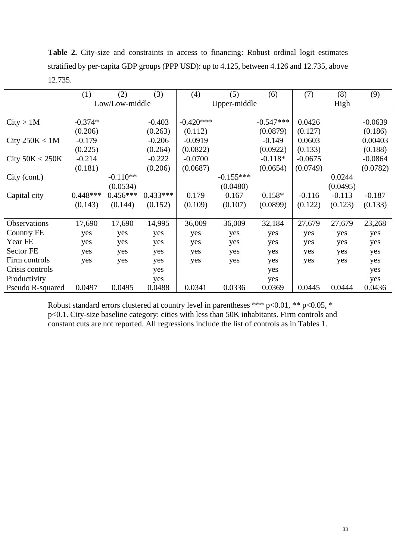**Table 2.** City-size and constraints in access to financing: Robust ordinal logit estimates stratified by per-capita GDP groups (PPP USD): up to 4.125, between 4.126 and 12.735, above 12.735.

|                   | (1)        | (2)            | (3)        | (4)         | (5)          | (6)         | (7)       | (8)      | (9)       |
|-------------------|------------|----------------|------------|-------------|--------------|-------------|-----------|----------|-----------|
|                   |            | Low/Low-middle |            |             | Upper-middle |             |           | High     |           |
|                   |            |                |            |             |              |             |           |          |           |
| City > 1M         | $-0.374*$  |                | $-0.403$   | $-0.420***$ |              | $-0.547***$ | 0.0426    |          | $-0.0639$ |
|                   | (0.206)    |                | (0.263)    | (0.112)     |              | (0.0879)    | (0.127)   |          | (0.186)   |
| City $250K < 1M$  | $-0.179$   |                | $-0.206$   | $-0.0919$   |              | $-0.149$    | 0.0603    |          | 0.00403   |
|                   | (0.225)    |                | (0.264)    | (0.0822)    |              | (0.0922)    | (0.133)   |          | (0.188)   |
| City $50K < 250K$ | $-0.214$   |                | $-0.222$   | $-0.0700$   |              | $-0.118*$   | $-0.0675$ |          | $-0.0864$ |
|                   | (0.181)    |                | (0.206)    | (0.0687)    |              | (0.0654)    | (0.0749)  |          | (0.0782)  |
| City (cont.)      |            | $-0.110**$     |            |             | $-0.155***$  |             |           | 0.0244   |           |
|                   |            | (0.0534)       |            |             | (0.0480)     |             |           | (0.0495) |           |
| Capital city      | $0.448***$ | $0.456***$     | $0.433***$ | 0.179       | 0.167        | $0.158*$    | $-0.116$  | $-0.113$ | $-0.187$  |
|                   | (0.143)    | (0.144)        | (0.152)    | (0.109)     | (0.107)      | (0.0899)    | (0.122)   | (0.123)  | (0.133)   |
|                   |            |                |            |             |              |             |           |          |           |
| Observations      | 17,690     | 17,690         | 14,995     | 36,009      | 36,009       | 32,184      | 27,679    | 27,679   | 23,268    |
| Country FE        | yes        | yes            | yes        | yes         | yes          | yes         | yes       | yes      | yes       |
| Year FE           | yes        | yes            | yes        | yes         | yes          | yes         | yes       | yes      | yes       |
| Sector FE         | yes        | yes            | yes        | yes         | yes          | yes         | yes       | yes      | yes       |
| Firm controls     | yes        | yes            | yes        | yes         | yes          | yes         | yes       | yes      | yes       |
| Crisis controls   |            |                | yes        |             |              | yes         |           |          | yes       |
| Productivity      |            |                | yes        |             |              | yes         |           |          | yes       |
| Pseudo R-squared  | 0.0497     | 0.0495         | 0.0488     | 0.0341      | 0.0336       | 0.0369      | 0.0445    | 0.0444   | 0.0436    |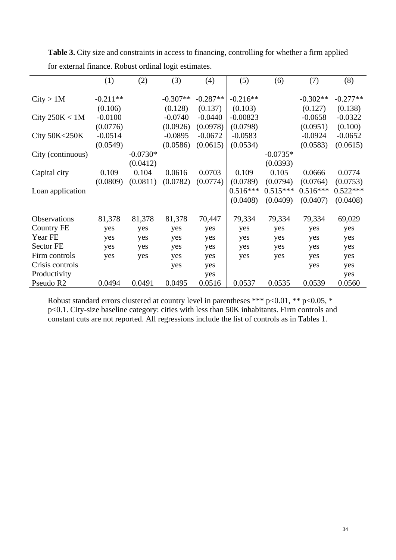|                       | (1)        | (2)        | (3)        | (4)        | (5)        | (6)        | (7)        | (8)        |
|-----------------------|------------|------------|------------|------------|------------|------------|------------|------------|
|                       |            |            |            |            |            |            |            |            |
| City > 1M             | $-0.211**$ |            | $-0.307**$ | $-0.287**$ | $-0.216**$ |            | $-0.302**$ | $-0.277**$ |
|                       | (0.106)    |            | (0.128)    | (0.137)    | (0.103)    |            | (0.127)    | (0.138)    |
| City $250K < 1M$      | $-0.0100$  |            | $-0.0740$  | $-0.0440$  | $-0.00823$ |            | $-0.0658$  | $-0.0322$  |
|                       | (0.0776)   |            | (0.0926)   | (0.0978)   | (0.0798)   |            | (0.0951)   | (0.100)    |
| City 50K<250K         | $-0.0514$  |            | $-0.0895$  | $-0.0672$  | $-0.0583$  |            | $-0.0924$  | $-0.0652$  |
|                       | (0.0549)   |            | (0.0586)   | (0.0615)   | (0.0534)   |            | (0.0583)   | (0.0615)   |
| City (continuous)     |            | $-0.0730*$ |            |            |            | $-0.0735*$ |            |            |
|                       |            | (0.0412)   |            |            |            | (0.0393)   |            |            |
| Capital city          | 0.109      | 0.104      | 0.0616     | 0.0703     | 0.109      | 0.105      | 0.0666     | 0.0774     |
|                       | (0.0809)   | (0.0811)   | (0.0782)   | (0.0774)   | (0.0789)   | (0.0794)   | (0.0764)   | (0.0753)   |
| Loan application      |            |            |            |            | $0.516***$ | $0.515***$ | $0.516***$ | $0.522***$ |
|                       |            |            |            |            | (0.0408)   | (0.0409)   | (0.0407)   | (0.0408)   |
|                       |            |            |            |            |            |            |            |            |
| Observations          | 81,378     | 81,378     | 81,378     | 70,447     | 79,334     | 79,334     | 79,334     | 69,029     |
| Country FE            | yes        | yes        | yes        | yes        | yes        | yes        | yes        | yes        |
| Year FE               | yes        | yes        | yes        | yes        | yes        | yes        | yes        | yes        |
| <b>Sector FE</b>      | yes        | yes        | yes        | yes        | yes        | yes        | yes        | yes        |
| Firm controls         | yes        | yes        | yes        | yes        | yes        | yes        | yes        | yes        |
| Crisis controls       |            |            | yes        | yes        |            |            | yes        | yes        |
| Productivity          |            |            |            | yes        |            |            |            | yes        |
| Pseudo R <sub>2</sub> | 0.0494     | 0.0491     | 0.0495     | 0.0516     | 0.0537     | 0.0535     | 0.0539     | 0.0560     |

**Table 3.** City size and constraints in access to financing, controlling for whether a firm applied for external finance. Robust ordinal logit estimates.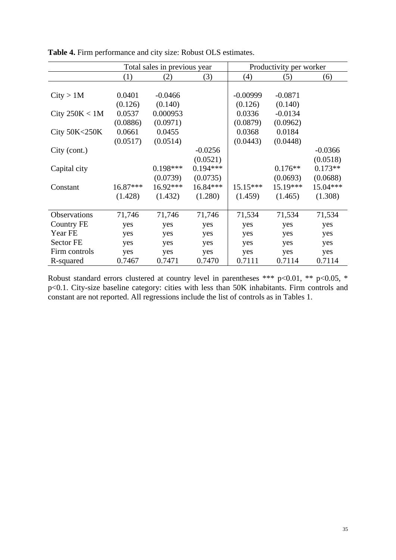|                  |          | Total sales in previous year |            | Productivity per worker |           |           |  |
|------------------|----------|------------------------------|------------|-------------------------|-----------|-----------|--|
|                  | (1)      | (2)                          | (3)        | (4)                     | (5)       | (6)       |  |
|                  |          |                              |            |                         |           |           |  |
| City > 1M        | 0.0401   | $-0.0466$                    |            | $-0.00999$              | $-0.0871$ |           |  |
|                  | (0.126)  | (0.140)                      |            | (0.126)                 | (0.140)   |           |  |
| City $250K < 1M$ | 0.0537   | 0.000953                     |            | 0.0336                  | $-0.0134$ |           |  |
|                  | (0.0886) | (0.0971)                     |            | (0.0879)                | (0.0962)  |           |  |
| City 50K<250K    | 0.0661   | 0.0455                       |            | 0.0368                  | 0.0184    |           |  |
|                  | (0.0517) | (0.0514)                     |            | (0.0443)                | (0.0448)  |           |  |
| City (cont.)     |          |                              | $-0.0256$  |                         |           | $-0.0366$ |  |
|                  |          |                              | (0.0521)   |                         |           | (0.0518)  |  |
| Capital city     |          | $0.198***$                   | $0.194***$ |                         | $0.176**$ | $0.173**$ |  |
|                  |          | (0.0739)                     | (0.0735)   |                         | (0.0693)  | (0.0688)  |  |
| Constant         | 16.87*** | 16.92***                     | 16.84***   | 15.15***                | 15.19***  | 15.04***  |  |
|                  | (1.428)  | (1.432)                      | (1.280)    | (1.459)                 | (1.465)   | (1.308)   |  |
|                  |          |                              |            |                         |           |           |  |
| Observations     | 71,746   | 71,746                       | 71,746     | 71,534                  | 71,534    | 71,534    |  |
| Country FE       | yes      | yes                          | yes        | yes                     | yes       | yes       |  |
| Year FE          | yes      | yes                          | yes        | yes                     | yes       | yes       |  |
| <b>Sector FE</b> | yes      | yes                          | yes        | yes                     | yes       | yes       |  |
| Firm controls    | yes      | yes                          | yes        | yes                     | yes       | yes       |  |
| R-squared        | 0.7467   | 0.7471                       | 0.7470     | 0.7111                  | 0.7114    | 0.7114    |  |

**Table 4.** Firm performance and city size: Robust OLS estimates.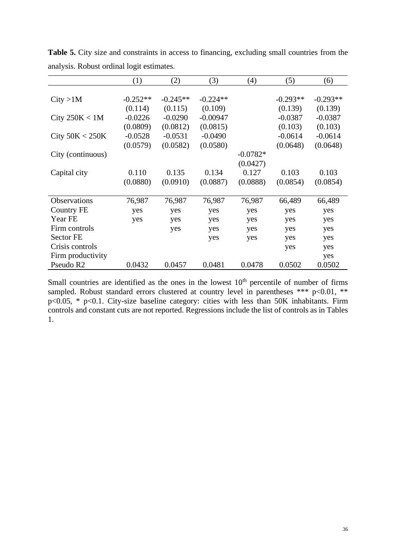|                       | (1)        | (2)        | (3)        | (4)        | (5)        | (6)        |
|-----------------------|------------|------------|------------|------------|------------|------------|
|                       |            |            |            |            |            |            |
| City > 1M             | $-0.252**$ | $-0.245**$ | $-0.224**$ |            | $-0.293**$ | $-0.293**$ |
|                       | (0.114)    | (0.115)    | (0.109)    |            | (0.139)    | (0.139)    |
| City $250K < 1M$      | $-0.0226$  | $-0.0290$  | $-0.00947$ |            | $-0.0387$  | $-0.0387$  |
|                       | (0.0809)   | (0.0812)   | (0.0815)   |            | (0.103)    | (0.103)    |
| City $50K < 250K$     | $-0.0528$  | $-0.0531$  | $-0.0490$  |            | $-0.0614$  | $-0.0614$  |
|                       | (0.0579)   | (0.0582)   | (0.0580)   |            | (0.0648)   | (0.0648)   |
| City (continuous)     |            |            |            | $-0.0782*$ |            |            |
|                       |            |            |            | (0.0427)   |            |            |
| Capital city          | 0.110      | 0.135      | 0.134      | 0.127      | 0.103      | 0.103      |
|                       | (0.0880)   | (0.0910)   | (0.0887)   | (0.0888)   | (0.0854)   | (0.0854)   |
|                       |            |            |            |            |            |            |
| Observations          | 76,987     | 76,987     | 76,987     | 76,987     | 66,489     | 66,489     |
| Country FE            | yes        | yes        | yes        | yes        | yes        | yes        |
| Year FE               | yes        | yes        | yes        | yes        | yes        | yes        |
| Firm controls         |            | yes        | yes        | yes        | yes        | yes        |
| <b>Sector FE</b>      |            |            | yes        | yes        | yes        | yes        |
| Crisis controls       |            |            |            |            | yes        | yes        |
| Firm productivity     |            |            |            |            |            | yes        |
| Pseudo R <sub>2</sub> | 0.0432     | 0.0457     | 0.0481     | 0.0478     | 0.0502     | 0.0502     |

**Table 5.** City size and constraints in access to financing, excluding small countries from the analysis. Robust ordinal logit estimates.

Small countries are identified as the ones in the lowest  $10<sup>th</sup>$  percentile of number of firms sampled. Robust standard errors clustered at country level in parentheses \*\*\*  $p<0.01$ , \*\* p<0.05, \* p<0.1. City-size baseline category: cities with less than 50K inhabitants. Firm controls and constant cuts are not reported. Regressions include the list of controls as in Tables 1.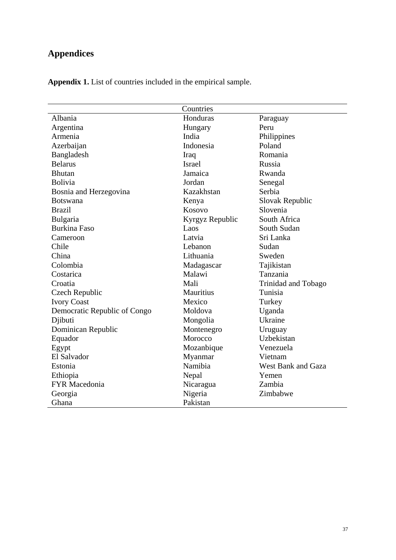# **Appendices**

| Appendix 1. List of countries included in the empirical sample. |  |  |
|-----------------------------------------------------------------|--|--|
|-----------------------------------------------------------------|--|--|

|                              | Countries       |                           |
|------------------------------|-----------------|---------------------------|
| Albania                      | Honduras        | Paraguay                  |
| Argentina                    | Hungary         | Peru                      |
| Armenia                      | India           | Philippines               |
| Azerbaijan                   | Indonesia       | Poland                    |
| Bangladesh                   | Iraq            | Romania                   |
| <b>Belarus</b>               | <b>Israel</b>   | Russia                    |
| <b>Bhutan</b>                | Jamaica         | Rwanda                    |
| <b>Bolivia</b>               | Jordan          | Senegal                   |
| Bosnia and Herzegovina       | Kazakhstan      | Serbia                    |
| <b>Botswana</b>              | Kenya           | Slovak Republic           |
| <b>Brazil</b>                | Kosovo          | Slovenia                  |
| <b>Bulgaria</b>              | Kyrgyz Republic | South Africa              |
| <b>Burkina Faso</b>          | Laos            | South Sudan               |
| Cameroon                     | Latvia          | Sri Lanka                 |
| Chile                        | Lebanon         | Sudan                     |
| China                        | Lithuania       | Sweden                    |
| Colombia                     | Madagascar      | Tajikistan                |
| Costarica                    | Malawi          | Tanzania                  |
| Croatia                      | Mali            | Trinidad and Tobago       |
| Czech Republic               | Mauritius       | Tunisia                   |
| <b>Ivory Coast</b>           | Mexico          | Turkey                    |
| Democratic Republic of Congo | Moldova         | Uganda                    |
| Djibuti                      | Mongolia        | Ukraine                   |
| Dominican Republic           | Montenegro      | Uruguay                   |
| Equador                      | Morocco         | Uzbekistan                |
| Egypt                        | Mozanbique      | Venezuela                 |
| El Salvador                  | Myanmar         | Vietnam                   |
| Estonia                      | Namibia         | <b>West Bank and Gaza</b> |
| Ethiopia                     | Nepal           | Yemen                     |
| <b>FYR</b> Macedonia         | Nicaragua       | Zambia                    |
| Georgia                      | Nigeria         | Zimbabwe                  |
| Ghana                        | Pakistan        |                           |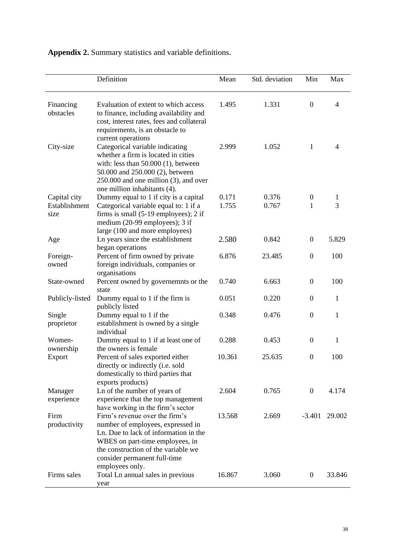|                        | Definition                                                                                                                                                                                                                                | Mean   | Std. deviation | Min              | Max            |
|------------------------|-------------------------------------------------------------------------------------------------------------------------------------------------------------------------------------------------------------------------------------------|--------|----------------|------------------|----------------|
| Financing<br>obstacles | Evaluation of extent to which access<br>to finance, including availability and                                                                                                                                                            | 1.495  | 1.331          | $\boldsymbol{0}$ | $\overline{4}$ |
|                        | cost, interest rates, fees and collateral<br>requirements, is an obstacle to<br>current operations                                                                                                                                        |        |                |                  |                |
| City-size              | Categorical variable indicating<br>whether a firm is located in cities<br>with: less than $50.000(1)$ , between<br>50.000 and 250.000 (2), between<br>$250.000$ and one million $(3)$ , and over<br>one million inhabitants (4).          | 2.999  | 1.052          | 1                | $\overline{4}$ |
| Capital city           | Dummy equal to 1 if city is a capital                                                                                                                                                                                                     | 0.171  | 0.376          | $\boldsymbol{0}$ | 1              |
| Establishment<br>size  | Categorical variable equal to: 1 if a<br>firms is small $(5-19$ employees); 2 if<br>medium (20-99 employees); 3 if<br>large (100 and more employees)                                                                                      | 1.755  | 0.767          | 1                | 3              |
| Age                    | Ln years since the establishment<br>began operations                                                                                                                                                                                      | 2.580  | 0.842          | $\boldsymbol{0}$ | 5.829          |
| Foreign-<br>owned      | Percent of firm owned by private<br>foreign individuals, companies or<br>organisations                                                                                                                                                    | 6.876  | 23.485         | $\boldsymbol{0}$ | 100            |
| State-owned            | Percent owned by governemnts or the<br>state                                                                                                                                                                                              | 0.740  | 6.663          | $\boldsymbol{0}$ | 100            |
| Publicly-listed        | Dummy equal to 1 if the firm is<br>publicly listed                                                                                                                                                                                        | 0.051  | 0.220          | $\boldsymbol{0}$ | $\mathbf{1}$   |
| Single<br>proprietor   | Dummy equal to 1 if the<br>establishment is owned by a single<br>individual                                                                                                                                                               | 0.348  | 0.476          | $\boldsymbol{0}$ | 1              |
| Women-<br>ownership    | Dummy equal to 1 if at least one of<br>the owners is female.                                                                                                                                                                              | 0.288  | 0.453          | $\boldsymbol{0}$ | 1              |
| Export                 | Percent of sales exported either<br>directly or indirectly (i.e. sold<br>domestically to third parties that<br>exports products)                                                                                                          | 10.361 | 25.635         | $\boldsymbol{0}$ | 100            |
| Manager<br>experience  | Ln of the number of years of<br>experience that the top management<br>have working in the firm's sector                                                                                                                                   | 2.604  | 0.765          | $\mathbf{0}$     | 4.174          |
| Firm<br>productivity   | Firm's revenue over the firm's<br>number of employees, expressed in<br>Ln. Due to lack of information in the<br>WBES on part-time employees, in<br>the construction of the variable we<br>consider permanent full-time<br>employees only. | 13.568 | 2.669          | $-3.401$         | 29.002         |
| Firms sales            | Total Ln annual sales in previous<br>year                                                                                                                                                                                                 | 16.867 | 3.060          | $\boldsymbol{0}$ | 33.846         |

## **Appendix 2.** Summary statistics and variable definitions.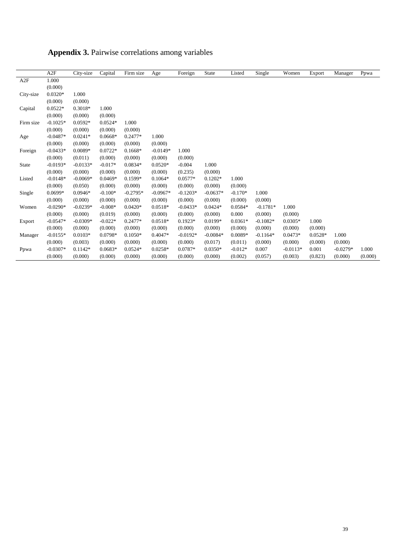|           | A2F        | City-size  | Capital   | Firm size  | Age        | Foreign    | State      | Listed    | Single     | Women      | Export    | Manager    | Ppwa    |
|-----------|------------|------------|-----------|------------|------------|------------|------------|-----------|------------|------------|-----------|------------|---------|
|           |            |            |           |            |            |            |            |           |            |            |           |            |         |
| A2F       | 1.000      |            |           |            |            |            |            |           |            |            |           |            |         |
|           | (0.000)    |            |           |            |            |            |            |           |            |            |           |            |         |
| City-size | $0.0320*$  | 1.000      |           |            |            |            |            |           |            |            |           |            |         |
|           | (0.000)    | (0.000)    |           |            |            |            |            |           |            |            |           |            |         |
| Capital   | $0.0522*$  | $0.3018*$  | 1.000     |            |            |            |            |           |            |            |           |            |         |
|           | (0.000)    | (0.000)    | (0.000)   |            |            |            |            |           |            |            |           |            |         |
| Firm size | $-0.1025*$ | $0.0592*$  | $0.0524*$ | 1.000      |            |            |            |           |            |            |           |            |         |
|           | (0.000)    | (0.000)    | (0.000)   | (0.000)    |            |            |            |           |            |            |           |            |         |
| Age       | $-0.0487*$ | $0.0241*$  | $0.0668*$ | 0.2477*    | 1.000      |            |            |           |            |            |           |            |         |
|           | (0.000)    | (0.000)    | (0.000)   | (0.000)    | (0.000)    |            |            |           |            |            |           |            |         |
| Foreign   | $-0.0433*$ | $0.0089*$  | $0.0722*$ | $0.1668*$  | $-0.0149*$ | 1.000      |            |           |            |            |           |            |         |
|           | (0.000)    | (0.011)    | (0.000)   | (0.000)    | (0.000)    | (0.000)    |            |           |            |            |           |            |         |
| State     | $-0.0193*$ | $-0.0133*$ | $-0.017*$ | $0.0834*$  | $0.0520*$  | $-0.004$   | 1.000      |           |            |            |           |            |         |
|           | (0.000)    | (0.000)    | (0.000)   | (0.000)    | (0.000)    | (0.235)    | (0.000)    |           |            |            |           |            |         |
| Listed    | $-0.0148*$ | $-0.0069*$ | $0.0469*$ | 0.1599*    | $0.1064*$  | $0.0577*$  | $0.1202*$  | 1.000     |            |            |           |            |         |
|           | (0.000)    | (0.050)    | (0.000)   | (0.000)    | (0.000)    | (0.000)    | (0.000)    | (0.000)   |            |            |           |            |         |
| Single    | $0.0699*$  | $0.0946*$  | $-0.100*$ | $-0.2795*$ | $-0.0967*$ | $-0.1203*$ | $-0.0637*$ | $-0.170*$ | 1.000      |            |           |            |         |
|           | (0.000)    | (0.000)    | (0.000)   | (0.000)    | (0.000)    | (0.000)    | (0.000)    | (0.000)   | (0.000)    |            |           |            |         |
| Women     | $-0.0290*$ | $-0.0239*$ | $-0.008*$ | $0.0420*$  | $0.0518*$  | $-0.0433*$ | $0.0424*$  | $0.0584*$ | $-0.1781*$ | 1.000      |           |            |         |
|           | (0.000)    | (0.000)    | (0.019)   | (0.000)    | (0.000)    | (0.000)    | (0.000)    | 0.000     | (0.000)    | (0.000)    |           |            |         |
| Export    | $-0.0547*$ | $-0.0309*$ | $-0.022*$ | $0.2477*$  | $0.0518*$  | $0.1923*$  | $0.0199*$  | $0.0361*$ | $-0.1082*$ | $0.0305*$  | 1.000     |            |         |
|           | (0.000)    | (0.000)    | (0.000)   | (0.000)    | (0.000)    | (0.000)    | (0.000)    | (0.000)   | (0.000)    | (0.000)    | (0.000)   |            |         |
| Manager   | $-0.0155*$ | $0.0103*$  | $0.0798*$ | $0.1050*$  | $0.4047*$  | $-0.0192*$ | $-0.0084*$ | $0.0089*$ | $-0.1164*$ | $0.0473*$  | $0.0528*$ | 1.000      |         |
|           | (0.000)    | (0.003)    | (0.000)   | (0.000)    | (0.000)    | (0.000)    | (0.017)    | (0.011)   | (0.000)    | (0.000)    | (0.000)   | (0.000)    |         |
| Ppwa      | $-0.0307*$ | $0.1142*$  | $0.0683*$ | $0.0524*$  | $0.0258*$  | 0.0787*    | $0.0350*$  | $-0.012*$ | 0.007      | $-0.0113*$ | 0.001     | $-0.0279*$ | 1.000   |
|           | (0.000)    | (0.000)    | (0.000)   | (0.000)    | (0.000)    | (0.000)    | (0.000)    | (0.002)   | (0.057)    | (0.003)    | (0.823)   | (0.000)    | (0.000) |
|           |            |            |           |            |            |            |            |           |            |            |           |            |         |

## **Appendix 3.** Pairwise correlations among variables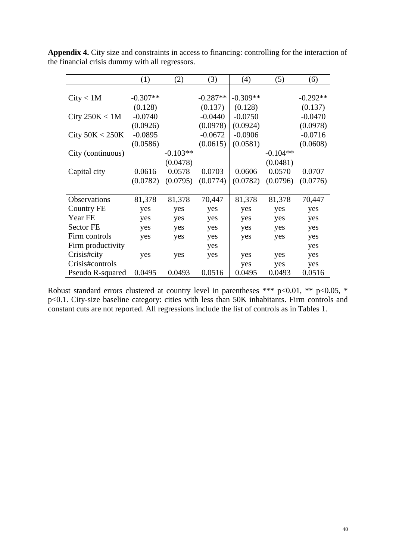|                   | (1)        | (2)        | (3)        | (4)        | (5)        | (6)        |
|-------------------|------------|------------|------------|------------|------------|------------|
|                   |            |            |            |            |            |            |
| City < 1M         | $-0.307**$ |            | $-0.287**$ | $-0.309**$ |            | $-0.292**$ |
|                   | (0.128)    |            | (0.137)    | (0.128)    |            | (0.137)    |
| City $250K < 1M$  | $-0.0740$  |            | $-0.0440$  | $-0.0750$  |            | $-0.0470$  |
|                   | (0.0926)   |            | (0.0978)   | (0.0924)   |            | (0.0978)   |
| City $50K < 250K$ | $-0.0895$  |            | $-0.0672$  | $-0.0906$  |            | $-0.0716$  |
|                   | (0.0586)   |            | (0.0615)   | (0.0581)   |            | (0.0608)   |
| City (continuous) |            | $-0.103**$ |            |            | $-0.104**$ |            |
|                   |            | (0.0478)   |            |            | (0.0481)   |            |
| Capital city      | 0.0616     | 0.0578     | 0.0703     | 0.0606     | 0.0570     | 0.0707     |
|                   | (0.0782)   | (0.0795)   | (0.0774)   | (0.0782)   | (0.0796)   | (0.0776)   |
|                   |            |            |            |            |            |            |
| Observations      | 81,378     | 81,378     | 70,447     | 81,378     | 81,378     | 70,447     |
| <b>Country FE</b> | yes        | yes        | yes        | yes        | yes        | yes        |
| Year FE           | yes        | yes        | yes        | yes        | yes        | yes        |
| <b>Sector FE</b>  | yes        | yes        | yes        | yes        | yes        | yes        |
| Firm controls     | yes        | yes        | yes        | yes        | yes        | yes        |
| Firm productivity |            |            | yes        |            |            | yes        |
| Crisis#city       | yes        | yes        | yes        | yes        | yes        | yes        |
| Crisis#controls   |            |            |            | yes        | yes        | yes        |
| Pseudo R-squared  | 0.0495     | 0.0493     | 0.0516     | 0.0495     | 0.0493     | 0.0516     |

**Appendix 4.** City size and constraints in access to financing: controlling for the interaction of the financial crisis dummy with all regressors.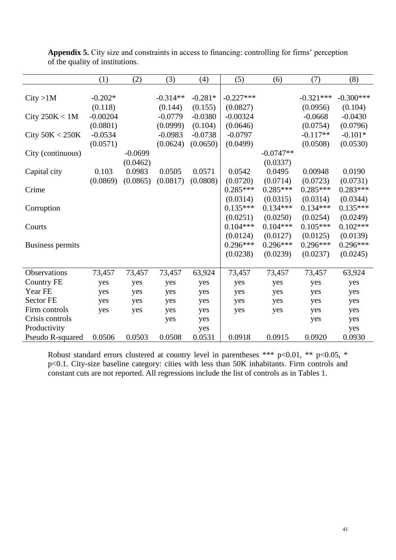|                   | (1)        | (2)       | (3)        | (4)       | (5)         | (6)         | (7)         | (8)         |
|-------------------|------------|-----------|------------|-----------|-------------|-------------|-------------|-------------|
|                   |            |           |            |           |             |             |             |             |
| City > 1M         | $-0.202*$  |           | $-0.314**$ | $-0.281*$ | $-0.227***$ |             | $-0.321***$ | $-0.300***$ |
|                   | (0.118)    |           | (0.144)    | (0.155)   | (0.0827)    |             | (0.0956)    | (0.104)     |
| City $250K < 1M$  | $-0.00204$ |           | $-0.0779$  | $-0.0380$ | $-0.00324$  |             | $-0.0668$   | $-0.0430$   |
|                   | (0.0801)   |           | (0.0999)   | (0.104)   | (0.0646)    |             | (0.0754)    | (0.0796)    |
| City $50K < 250K$ | $-0.0534$  |           | $-0.0983$  | $-0.0738$ | $-0.0797$   |             | $-0.117**$  | $-0.101*$   |
|                   | (0.0571)   |           | (0.0624)   | (0.0650)  | (0.0499)    |             | (0.0508)    | (0.0530)    |
| City (continuous) |            | $-0.0699$ |            |           |             | $-0.0747**$ |             |             |
|                   |            | (0.0462)  |            |           |             | (0.0337)    |             |             |
| Capital city      | 0.103      | 0.0983    | 0.0505     | 0.0571    | 0.0542      | 0.0495      | 0.00948     | 0.0190      |
|                   | (0.0869)   | (0.0865)  | (0.0817)   | (0.0808)  | (0.0720)    | (0.0714)    | (0.0723)    | (0.0731)    |
| Crime             |            |           |            |           | $0.285***$  | $0.285***$  | $0.285***$  | $0.283***$  |
|                   |            |           |            |           | (0.0314)    | (0.0315)    | (0.0314)    | (0.0344)    |
| Corruption        |            |           |            |           | $0.135***$  | $0.134***$  | $0.134***$  | $0.135***$  |
|                   |            |           |            |           | (0.0251)    | (0.0250)    | (0.0254)    | (0.0249)    |
| Courts            |            |           |            |           | $0.104***$  | $0.104***$  | $0.105***$  | $0.102***$  |
|                   |            |           |            |           | (0.0124)    | (0.0127)    | (0.0125)    | (0.0139)    |
| Business permits  |            |           |            |           | $0.296***$  | $0.296***$  | $0.296***$  | $0.296***$  |
|                   |            |           |            |           | (0.0238)    | (0.0239)    | (0.0237)    | (0.0245)    |
|                   |            |           |            |           |             |             |             |             |
| Observations      | 73,457     | 73,457    | 73,457     | 63,924    | 73,457      | 73,457      | 73,457      | 63,924      |
| <b>Country FE</b> | yes        | yes       | yes        | yes       | yes         | yes         | yes         | yes         |
| Year FE           | yes        | yes       | yes        | yes       | yes         | yes         | yes         | yes         |
| <b>Sector FE</b>  | yes        | yes       | yes        | yes       | yes         | yes         | yes         | yes         |
| Firm controls     | yes        | yes       | yes        | yes       | yes         | yes         | yes         | yes         |
| Crisis controls   |            |           | yes        | yes       |             |             | yes         | yes         |
| Productivity      |            |           |            | yes       |             |             |             | yes         |
| Pseudo R-squared  | 0.0506     | 0.0503    | 0.0508     | 0.0531    | 0.0918      | 0.0915      | 0.0920      | 0.0930      |

**Appendix 5.** City size and constraints in access to financing: controlling for firms' perception of the quality of institutions.